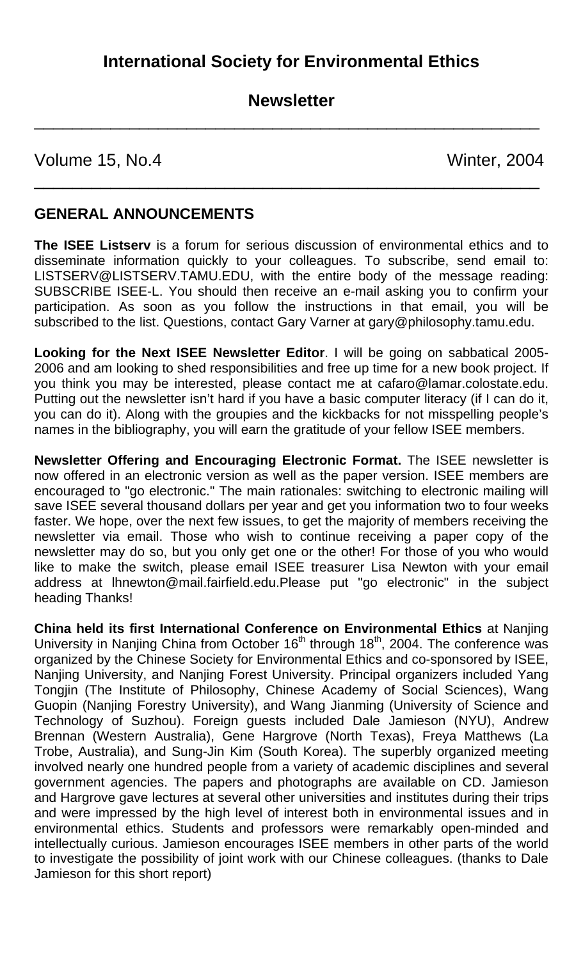# **Newsletter**

\_\_\_\_\_\_\_\_\_\_\_\_\_\_\_\_\_\_\_\_\_\_\_\_\_\_\_\_\_\_\_\_\_\_\_\_\_\_\_\_\_\_\_\_\_\_\_\_\_\_\_\_\_

\_\_\_\_\_\_\_\_\_\_\_\_\_\_\_\_\_\_\_\_\_\_\_\_\_\_\_\_\_\_\_\_\_\_\_\_\_\_\_\_\_\_\_\_\_\_\_\_\_\_\_\_\_

Volume 15, No.4 Winter, 2004

#### **GENERAL ANNOUNCEMENTS**

**The ISEE Listserv** is a forum for serious discussion of environmental ethics and to disseminate information quickly to your colleagues. To subscribe, send email to: LISTSERV@LISTSERV.TAMU.EDU, with the entire body of the message reading: SUBSCRIBE ISEE-L. You should then receive an e-mail asking you to confirm your participation. As soon as you follow the instructions in that email, you will be subscribed to the list. Questions, contact Gary Varner at gary@philosophy.tamu.edu.

**Looking for the Next ISEE Newsletter Editor**. I will be going on sabbatical 2005- 2006 and am looking to shed responsibilities and free up time for a new book project. If you think you may be interested, please contact me at cafaro@lamar.colostate.edu. Putting out the newsletter isn't hard if you have a basic computer literacy (if I can do it, you can do it). Along with the groupies and the kickbacks for not misspelling people's names in the bibliography, you will earn the gratitude of your fellow ISEE members.

**Newsletter Offering and Encouraging Electronic Format.** The ISEE newsletter is now offered in an electronic version as well as the paper version. ISEE members are encouraged to "go electronic." The main rationales: switching to electronic mailing will save ISEE several thousand dollars per year and get you information two to four weeks faster. We hope, over the next few issues, to get the majority of members receiving the newsletter via email. Those who wish to continue receiving a paper copy of the newsletter may do so, but you only get one or the other! For those of you who would like to make the switch, please email ISEE treasurer Lisa Newton with your email address at [lhnewton@mail.fairfield.edu.](mailto:lhnewton@mail.fairfield.edu)Please put "go electronic" in the subject heading Thanks!

**China held its first International Conference on Environmental Ethics** at Nanjing University in Nanjing China from October 16<sup>th</sup> through 18<sup>th</sup>, 2004. The conference was organized by the Chinese Society for Environmental Ethics and co-sponsored by ISEE, Nanjing University, and Nanjing Forest University. Principal organizers included Yang Tongjin (The Institute of Philosophy, Chinese Academy of Social Sciences), Wang Guopin (Nanjing Forestry University), and Wang Jianming (University of Science and Technology of Suzhou). Foreign guests included Dale Jamieson (NYU), Andrew Brennan (Western Australia), Gene Hargrove (North Texas), Freya Matthews (La Trobe, Australia), and Sung-Jin Kim (South Korea). The superbly organized meeting involved nearly one hundred people from a variety of academic disciplines and several government agencies. The papers and photographs are available on CD. Jamieson and Hargrove gave lectures at several other universities and institutes during their trips and were impressed by the high level of interest both in environmental issues and in environmental ethics. Students and professors were remarkably open-minded and intellectually curious. Jamieson encourages ISEE members in other parts of the world to investigate the possibility of joint work with our Chinese colleagues. (thanks to Dale Jamieson for this short report)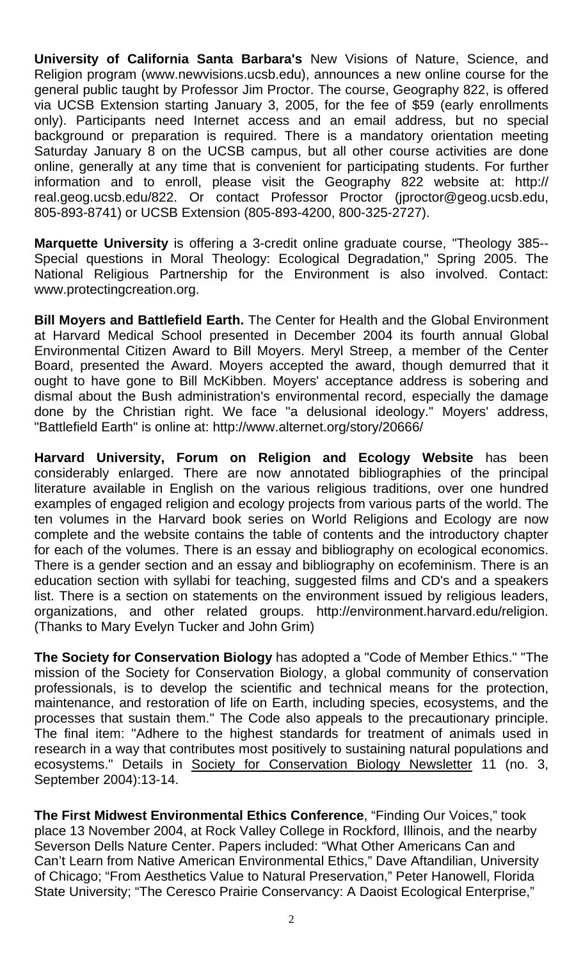**University of California Santa Barbara's** New Visions of Nature, Science, and Religion program (www.newvisions.ucsb.edu), announces a new online course for the general public taught by Professor Jim Proctor. The course, Geography 822, is offered via UCSB Extension starting January 3, 2005, for the fee of \$59 (early enrollments only). Participants need Internet access and an email address, but no special background or preparation is required. There is a mandatory orientation meeting Saturday January 8 on the UCSB campus, but all other course activities are done online, generally at any time that is convenient for participating students. For further information and to enroll, please visit the Geography 822 website at: [http://](http://real.geog.ucsb.edu/822)  [real.geog.ucsb.edu/822](http://real.geog.ucsb.edu/822). Or contact Professor Proctor (jproctor@geog.ucsb.edu, 805-893-8741) or UCSB Extension (805-893-4200, 800-325-2727).

**Marquette University** is offering a 3-credit online graduate course, "Theology 385-- Special questions in Moral Theology: Ecological Degradation," Spring 2005. The National Religious Partnership for the Environment is also involved. Contact: www.protectingcreation.org.

**Bill Moyers and Battlefield Earth.** The Center for Health and the Global Environment at Harvard Medical School presented in December 2004 its fourth annual Global Environmental Citizen Award to Bill Moyers. Meryl Streep, a member of the Center Board, presented the Award. Moyers accepted the award, though demurred that it ought to have gone to Bill McKibben. Moyers' acceptance address is sobering and dismal about the Bush administration's environmental record, especially the damage done by the Christian right. We face "a delusional ideology." Moyers' address, "Battlefield Earth" is online at: http://www.alternet.org/story/20666/

**Harvard University, Forum on Religion and Ecology Website** has been considerably enlarged. There are now annotated bibliographies of the principal literature available in English on the various religious traditions, over one hundred examples of engaged religion and ecology projects from various parts of the world. The ten volumes in the Harvard book series on World Religions and Ecology are now complete and the website contains the table of contents and the introductory chapter for each of the volumes. There is an essay and bibliography on ecological economics. There is a gender section and an essay and bibliography on ecofeminism. There is an education section with syllabi for teaching, suggested films and CD's and a speakers list. There is a section on statements on the environment issued by religious leaders, organizations, and other related groups. <http://environment.harvard.edu/religion>. (Thanks to Mary Evelyn Tucker and John Grim)

**The Society for Conservation Biology** has adopted a "Code of Member Ethics." "The mission of the Society for Conservation Biology, a global community of conservation professionals, is to develop the scientific and technical means for the protection, maintenance, and restoration of life on Earth, including species, ecosystems, and the processes that sustain them." The Code also appeals to the precautionary principle. The final item: "Adhere to the highest standards for treatment of animals used in research in a way that contributes most positively to sustaining natural populations and ecosystems." Details in Society for Conservation Biology Newsletter 11 (no. 3, September 2004):13-14.

**The First Midwest Environmental Ethics Conference**, "Finding Our Voices," took place 13 November 2004, at Rock Valley College in Rockford, Illinois, and the nearby Severson Dells Nature Center. Papers included: "What Other Americans Can and Can't Learn from Native American Environmental Ethics," Dave Aftandilian, University of Chicago; "From Aesthetics Value to Natural Preservation," Peter Hanowell, Florida State University; "The Ceresco Prairie Conservancy: A Daoist Ecological Enterprise,"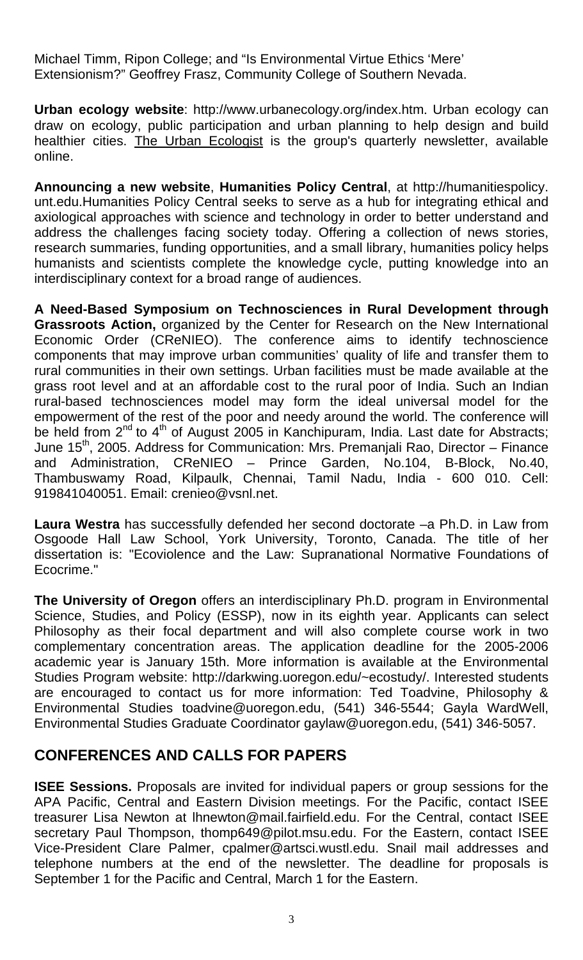Michael Timm, Ripon College; and "Is Environmental Virtue Ethics 'Mere' Extensionism?" Geoffrey Frasz, Community College of Southern Nevada.

**Urban ecology website**: http://www.urbanecology.org/index.htm. Urban ecology can draw on ecology, public participation and urban planning to help design and build healthier cities. The Urban Ecologist is the group's quarterly newsletter, available online.

**Announcing a new website**, **Humanities Policy Central**, at [http://humanitiespolicy.](http://humanitiespolicy.unt.edu/)  [un](http://humanitiespolicy.unt.edu/)t.edu.Humanities Policy Central seeks to serve as a hub for integrating ethical and axiological approaches with science and technology in order to better understand and address the challenges facing society today. Offering a collection of news stories, research summaries, funding opportunities, and a small library, humanities policy helps humanists and scientists complete the knowledge cycle, putting knowledge into an interdisciplinary context for a broad range of audiences.

**A Need-Based Symposium on Technosciences in Rural Development through Grassroots Action,** organized by the Center for Research on the New International Economic Order (CReNIEO). The conference aims to identify technoscience components that may improve urban communities' quality of life and transfer them to rural communities in their own settings. Urban facilities must be made available at the grass root level and at an affordable cost to the rural poor of India. Such an Indian rural-based technosciences model may form the ideal universal model for the empowerment of the rest of the poor and needy around the world. The conference will be held from  $2^{nd}$  to  $4^{th}$  of August 2005 in Kanchipuram, India. Last date for Abstracts; June 15<sup>th</sup>, 2005. Address for Communication: Mrs. Premaniali Rao. Director – Finance and Administration, CReNIEO – Prince Garden, No.104, B-Block, No.40, Thambuswamy Road, Kilpaulk, Chennai, Tamil Nadu, India - 600 010. Cell: 919841040051. Email: [crenieo@vsnl.net](mailto:crenieo@vsnl.net).

**Laura Westra** has successfully defended her second doctorate –a Ph.D. in Law from Osgoode Hall Law School, York University, Toronto, Canada. The title of her dissertation is: "Ecoviolence and the Law: Supranational Normative Foundations of Ecocrime."

**The University of Oregon** offers an interdisciplinary Ph.D. program in Environmental Science, Studies, and Policy (ESSP), now in its eighth year. Applicants can select Philosophy as their focal department and will also complete course work in two complementary concentration areas. The application deadline for the 2005-2006 academic year is January 15th. More information is available at the Environmental Studies Program website: [http://darkwing.uoregon.edu/~ecostudy/.](http://darkwing.uoregon.edu/%7Eecostudy/) Interested students are encouraged to contact us for more information: Ted Toadvine, Philosophy & Environmental Studies [toadvine@uoregon.edu](mailto:toadvine@uoregon.edu), (541) 346-5544; Gayla WardWell, Environmental Studies Graduate Coordinator [gaylaw@uoregon.edu,](mailto:gaylaw@uoregon.edu) (541) 346-5057.

## **CONFERENCES AND CALLS FOR PAPERS**

**ISEE Sessions.** Proposals are invited for individual papers or group sessions for the APA Pacific, Central and Eastern Division meetings. For the Pacific, contact ISEE treasurer Lisa Newton at [lhnewton@mail.fairfield.edu](mailto:lhnewton@mail.fairfield.edu). For the Central, contact ISEE secretary Paul Thompson, thomp649@pilot.msu.edu. For the Eastern, contact ISEE Vice-President Clare Palmer, [cpalmer@artsci.wustl.edu](mailto:cpalmer@artsci.wustl.edu). Snail mail addresses and telephone numbers at the end of the newsletter. The deadline for proposals is September 1 for the Pacific and Central, March 1 for the Eastern.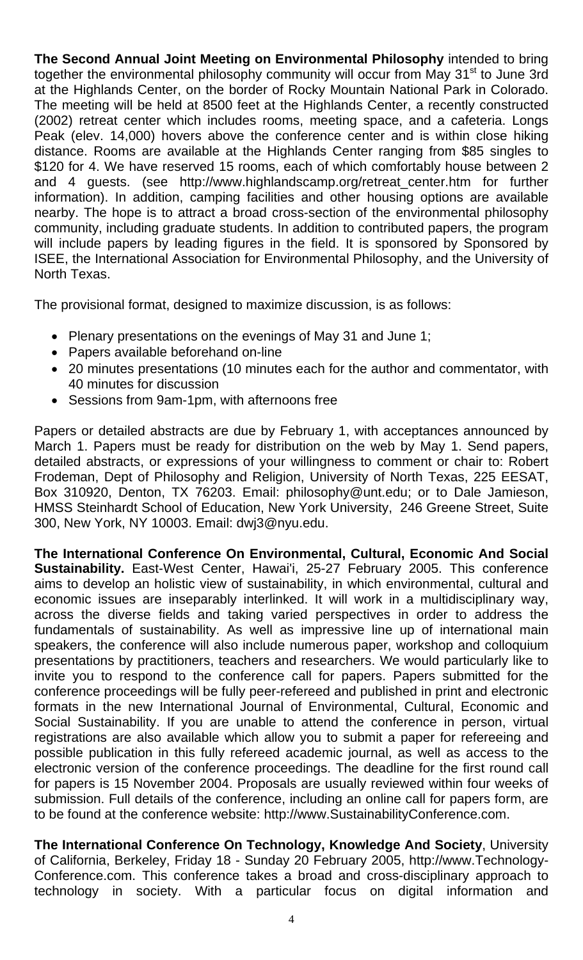**The Second Annual Joint Meeting on Environmental Philosophy** intended to bring together the environmental philosophy community will occur from May 31<sup>st</sup> to June 3rd at the Highlands Center, on the border of Rocky Mountain National Park in Colorado. The meeting will be held at 8500 feet at the Highlands Center, a recently constructed (2002) retreat center which includes rooms, meeting space, and a cafeteria. Longs Peak (elev. 14,000) hovers above the conference center and is within close hiking distance. Rooms are available at the Highlands Center ranging from \$85 singles to \$120 for 4. We have reserved 15 rooms, each of which comfortably house between 2 and 4 guests. (see [http://www.highlandscamp.org/retreat\\_center.htm](http://www.highlandscamp.org/retreat_center.htm) for further information). In addition, camping facilities and other housing options are available nearby. The hope is to attract a broad cross-section of the environmental philosophy community, including graduate students. In addition to contributed papers, the program will include papers by leading figures in the field. It is sponsored by Sponsored by ISEE, the International Association for Environmental Philosophy, and the University of North Texas.

The provisional format, designed to maximize discussion, is as follows:

- Plenary presentations on the evenings of May 31 and June 1;
- Papers available beforehand on-line
- 20 minutes presentations (10 minutes each for the author and commentator, with 40 minutes for discussion
- Sessions from 9am-1pm, with afternoons free

Papers or detailed abstracts are due by February 1, with acceptances announced by March 1. Papers must be ready for distribution on the web by May 1. Send papers, detailed abstracts, or expressions of your willingness to comment or chair to: Robert Frodeman, Dept of Philosophy and Religion, University of North Texas, 225 EESAT, Box 310920, Denton, TX 76203. Email: [philosophy@unt.edu](mailto:philosophy@unt.edu); or to Dale Jamieson, HMSS Steinhardt School of Education, New York University, 246 Greene Street, Suite 300, New York, NY 10003. Email: dwj3@nyu.edu.

**The International Conference On Environmental, Cultural, Economic And Social Sustainability.** East-West Center, Hawai'i, 25-27 February 2005. This conference aims to develop an holistic view of sustainability, in which environmental, cultural and economic issues are inseparably interlinked. It will work in a multidisciplinary way, across the diverse fields and taking varied perspectives in order to address the fundamentals of sustainability. As well as impressive line up of international main speakers, the conference will also include numerous paper, workshop and colloquium presentations by practitioners, teachers and researchers. We would particularly like to invite you to respond to the conference call for papers. Papers submitted for the conference proceedings will be fully peer-refereed and published in print and electronic formats in the new International Journal of Environmental, Cultural, Economic and Social Sustainability. If you are unable to attend the conference in person, virtual registrations are also available which allow you to submit a paper for refereeing and possible publication in this fully refereed academic journal, as well as access to the electronic version of the conference proceedings. The deadline for the first round call for papers is 15 November 2004. Proposals are usually reviewed within four weeks of submission. Full details of the conference, including an online call for papers form, are to be found at the conference website: http://www[.SustainabilityConference.com.](http://www.sustainabilityconference.com/)

**The International Conference On Technology, Knowledge And Society**, University of California, Berkeley, Friday 18 - Sunday 20 February 2005, [http://www.Technology-](http://www.technology-conference.com/)[Conference.com.](http://www.technology-conference.com/) This conference takes a broad and cross-disciplinary approach to technology in society. With a particular focus on digital information and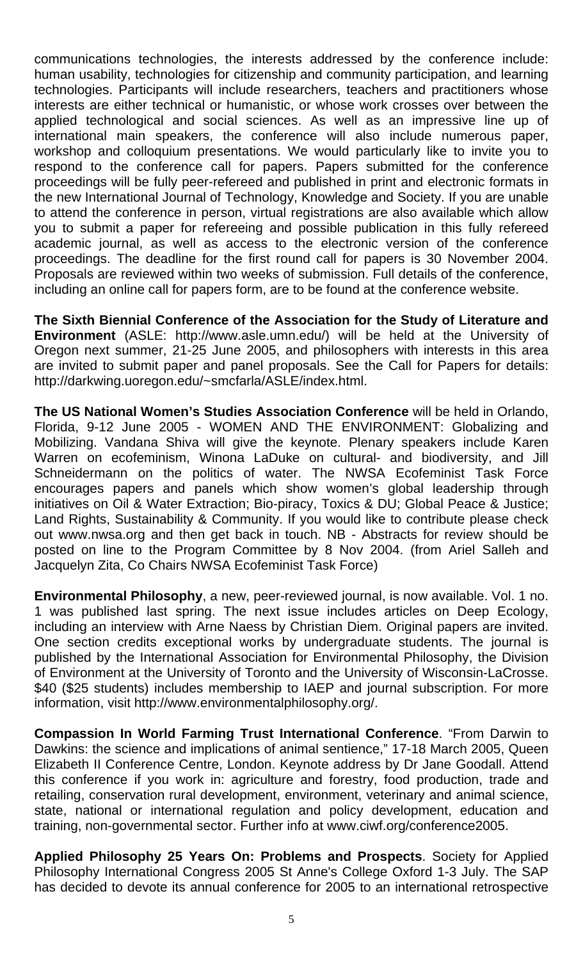communications technologies, the interests addressed by the conference include: human usability, technologies for citizenship and community participation, and learning technologies. Participants will include researchers, teachers and practitioners whose interests are either technical or humanistic, or whose work crosses over between the applied technological and social sciences. As well as an impressive line up of international main speakers, the conference will also include numerous paper, workshop and colloquium presentations. We would particularly like to invite you to respond to the conference call for papers. Papers submitted for the conference proceedings will be fully peer-refereed and published in print and electronic formats in the new International Journal of Technology, Knowledge and Society. If you are unable to attend the conference in person, virtual registrations are also available which allow you to submit a paper for refereeing and possible publication in this fully refereed academic journal, as well as access to the electronic version of the conference proceedings. The deadline for the first round call for papers is 30 November 2004. Proposals are reviewed within two weeks of submission. Full details of the conference, including an online call for papers form, are to be found at the conference website.

**The Sixth Biennial Conference of the Association for the Study of Literature and Environment** (ASLE: [http://www.asle.umn.edu/\)](http://www.asle.umn.edu/) will be held at the University of Oregon next summer, 21-25 June 2005, and philosophers with interests in this area are invited to submit paper and panel proposals. See the Call for Papers for details: [http://darkwing.uoregon.edu/~smcfarla/ASLE/index.html.](http://darkwing.uoregon.edu/%7Esmcfarla/ASLE/index.html)

**The US National Women's Studies Association Conference** will be held in Orlando, Florida, 9-12 June 2005 - WOMEN AND THE ENVIRONMENT: Globalizing and Mobilizing. Vandana Shiva will give the keynote. Plenary speakers include Karen Warren on ecofeminism, Winona LaDuke on cultural- and biodiversity, and Jill Schneidermann on the politics of water. The NWSA Ecofeminist Task Force encourages papers and panels which show women's global leadership through initiatives on Oil & Water Extraction; Bio-piracy, Toxics & DU; Global Peace & Justice; Land Rights, Sustainability & Community. If you would like to contribute please check out www.nwsa.org and then get back in touch. NB - Abstracts for review should be posted on line to the Program Committee by 8 Nov 2004. (from Ariel Salleh and Jacquelyn Zita, Co Chairs NWSA Ecofeminist Task Force)

**Environmental Philosophy**, a new, peer-reviewed journal, is now available. Vol. 1 no. 1 was published last spring. The next issue includes articles on Deep Ecology, including an interview with Arne Naess by Christian Diem. Original papers are invited. One section credits exceptional works by undergraduate students. The journal is published by the International Association for Environmental Philosophy, the Division of Environment at the University of Toronto and the University of Wisconsin-LaCrosse. \$40 (\$25 students) includes membership to IAEP and journal subscription. For more information, visit<http://www.environmentalphilosophy.org/>.

**Compassion In World Farming Trust International Conference**. "From Darwin to Dawkins: the science and implications of animal sentience," 17-18 March 2005, Queen Elizabeth II Conference Centre, London. Keynote address by Dr Jane Goodall. Attend this conference if you work in: agriculture and forestry, food production, trade and retailing, conservation rural development, environment, veterinary and animal science, state, national or international regulation and policy development, education and training, non-governmental sector. Further info at www.ciwf.org/conference2005.

**Applied Philosophy 25 Years On: Problems and Prospects**. Society for Applied Philosophy International Congress 2005 St Anne's College Oxford 1-3 July. The SAP has decided to devote its annual conference for 2005 to an international retrospective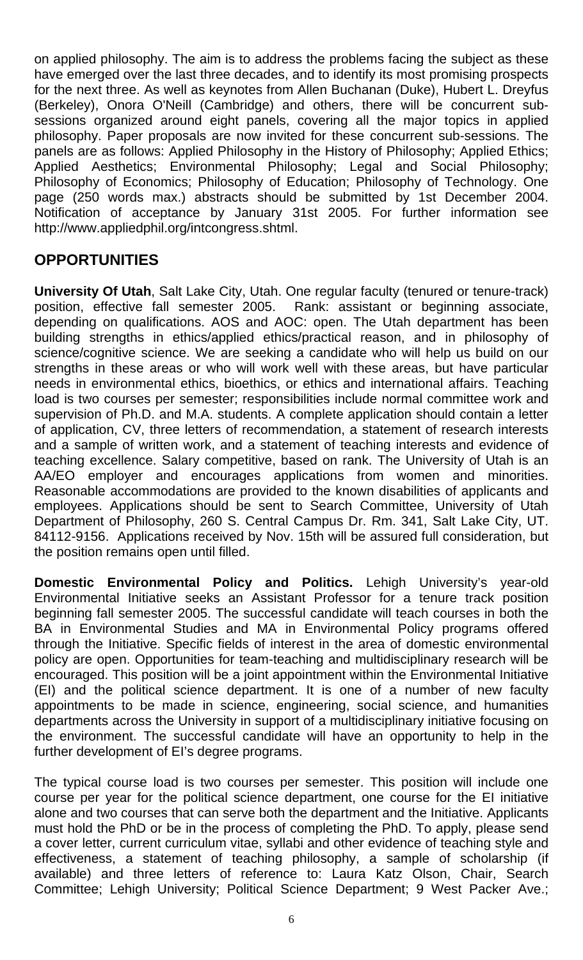on applied philosophy. The aim is to address the problems facing the subject as these have emerged over the last three decades, and to identify its most promising prospects for the next three. As well as keynotes from Allen Buchanan (Duke), Hubert L. Dreyfus (Berkeley), Onora O'Neill (Cambridge) and others, there will be concurrent subsessions organized around eight panels, covering all the major topics in applied philosophy. Paper proposals are now invited for these concurrent sub-sessions. The panels are as follows: Applied Philosophy in the History of Philosophy; Applied Ethics; Applied Aesthetics; Environmental Philosophy; Legal and Social Philosophy; Philosophy of Economics; Philosophy of Education; Philosophy of Technology. One page (250 words max.) abstracts should be submitted by 1st December 2004. Notification of acceptance by January 31st 2005. For further information see <http://www.appliedphil.org/intcongress.shtml>.

#### **OPPORTUNITIES**

**University Of Utah, Salt Lake City, Utah. One regular faculty (tenured or tenure-track)** position, effective fall semester 2005. Rank: assistant or beginning associate, depending on qualifications. AOS and AOC: open. The Utah department has been building strengths in ethics/applied ethics/practical reason, and in philosophy of science/cognitive science. We are seeking a candidate who will help us build on our strengths in these areas or who will work well with these areas, but have particular needs in environmental ethics, bioethics, or ethics and international affairs. Teaching load is two courses per semester; responsibilities include normal committee work and supervision of Ph.D. and M.A. students. A complete application should contain a letter of application, CV, three letters of recommendation, a statement of research interests and a sample of written work, and a statement of teaching interests and evidence of teaching excellence. Salary competitive, based on rank. The University of Utah is an AA/EO employer and encourages applications from women and minorities. Reasonable accommodations are provided to the known disabilities of applicants and employees. Applications should be sent to Search Committee, University of Utah Department of Philosophy, 260 S. Central Campus Dr. Rm. 341, Salt Lake City, UT. 84112-9156. Applications received by Nov. 15th will be assured full consideration, but the position remains open until filled.

**Domestic Environmental Policy and Politics.** Lehigh University's year-old Environmental Initiative seeks an Assistant Professor for a tenure track position beginning fall semester 2005. The successful candidate will teach courses in both the BA in Environmental Studies and MA in Environmental Policy programs offered through the Initiative. Specific fields of interest in the area of domestic environmental policy are open. Opportunities for team-teaching and multidisciplinary research will be encouraged. This position will be a joint appointment within the Environmental Initiative (EI) and the political science department. It is one of a number of new faculty appointments to be made in science, engineering, social science, and humanities departments across the University in support of a multidisciplinary initiative focusing on the environment. The successful candidate will have an opportunity to help in the further development of EI's degree programs.

The typical course load is two courses per semester. This position will include one course per year for the political science department, one course for the EI initiative alone and two courses that can serve both the department and the Initiative. Applicants must hold the PhD or be in the process of completing the PhD. To apply, please send a cover letter, current curriculum vitae, syllabi and other evidence of teaching style and effectiveness, a statement of teaching philosophy, a sample of scholarship (if available) and three letters of reference to: Laura Katz Olson, Chair, Search Committee; Lehigh University; Political Science Department; 9 West Packer Ave.;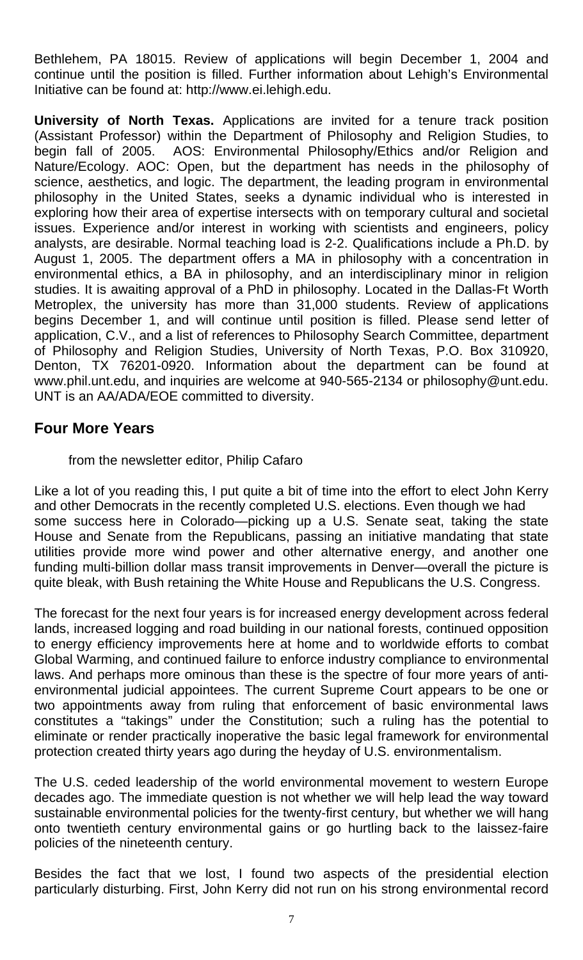Bethlehem, PA 18015. Review of applications will begin December 1, 2004 and continue until the position is filled. Further information about Lehigh's Environmental Initiative can be found at: [http://www.ei.lehigh.edu](http://www.ei.lehigh.edu/).

**University of North Texas.** Applications are invited for a tenure track position (Assistant Professor) within the Department of Philosophy and Religion Studies, to begin fall of 2005. AOS: Environmental Philosophy/Ethics and/or Religion and Nature/Ecology. AOC: Open, but the department has needs in the philosophy of science, aesthetics, and logic. The department, the leading program in environmental philosophy in the United States, seeks a dynamic individual who is interested in exploring how their area of expertise intersects with on temporary cultural and societal issues. Experience and/or interest in working with scientists and engineers, policy analysts, are desirable. Normal teaching load is 2-2. Qualifications include a Ph.D. by August 1, 2005. The department offers a MA in philosophy with a concentration in environmental ethics, a BA in philosophy, and an interdisciplinary minor in religion studies. It is awaiting approval of a PhD in philosophy. Located in the Dallas-Ft Worth Metroplex, the university has more than 31,000 students. Review of applications begins December 1, and will continue until position is filled. Please send letter of application, C.V., and a list of references to Philosophy Search Committee, department of Philosophy and Religion Studies, University of North Texas, P.O. Box 310920, Denton, TX 76201-0920. Information about the department can be found at [www.phil.unt.edu,](http://www.phil.unt.edu/) and inquiries are welcome at 940-565-2134 or [philosophy@unt.edu](mailto:philosophy@unt.edu). UNT is an AA/ADA/EOE committed to diversity.

#### **Four More Years**

from the newsletter editor, Philip Cafaro

Like a lot of you reading this, I put quite a bit of time into the effort to elect John Kerry and other Democrats in the recently completed U.S. elections. Even though we had some success here in Colorado—picking up a U.S. Senate seat, taking the state House and Senate from the Republicans, passing an initiative mandating that state utilities provide more wind power and other alternative energy, and another one funding multi-billion dollar mass transit improvements in Denver—overall the picture is quite bleak, with Bush retaining the White House and Republicans the U.S. Congress.

The forecast for the next four years is for increased energy development across federal lands, increased logging and road building in our national forests, continued opposition to energy efficiency improvements here at home and to worldwide efforts to combat Global Warming, and continued failure to enforce industry compliance to environmental laws. And perhaps more ominous than these is the spectre of four more years of antienvironmental judicial appointees. The current Supreme Court appears to be one or two appointments away from ruling that enforcement of basic environmental laws constitutes a "takings" under the Constitution; such a ruling has the potential to eliminate or render practically inoperative the basic legal framework for environmental protection created thirty years ago during the heyday of U.S. environmentalism.

The U.S. ceded leadership of the world environmental movement to western Europe decades ago. The immediate question is not whether we will help lead the way toward sustainable environmental policies for the twenty-first century, but whether we will hang onto twentieth century environmental gains or go hurtling back to the laissez-faire policies of the nineteenth century.

Besides the fact that we lost, I found two aspects of the presidential election particularly disturbing. First, John Kerry did not run on his strong environmental record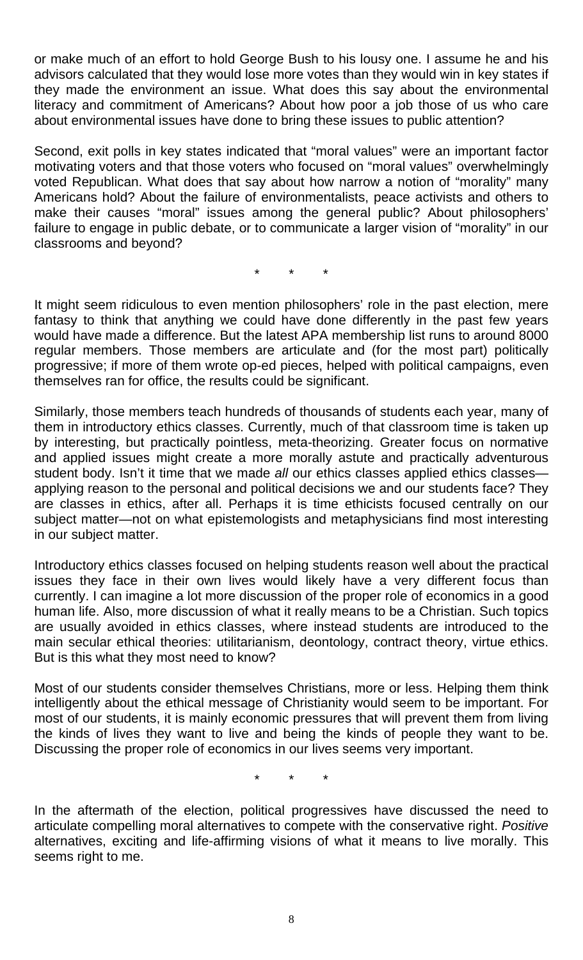or make much of an effort to hold George Bush to his lousy one. I assume he and his advisors calculated that they would lose more votes than they would win in key states if they made the environment an issue. What does this say about the environmental literacy and commitment of Americans? About how poor a job those of us who care about environmental issues have done to bring these issues to public attention?

Second, exit polls in key states indicated that "moral values" were an important factor motivating voters and that those voters who focused on "moral values" overwhelmingly voted Republican. What does that say about how narrow a notion of "morality" many Americans hold? About the failure of environmentalists, peace activists and others to make their causes "moral" issues among the general public? About philosophers' failure to engage in public debate, or to communicate a larger vision of "morality" in our classrooms and beyond?

\* \* \*

It might seem ridiculous to even mention philosophers' role in the past election, mere fantasy to think that anything we could have done differently in the past few years would have made a difference. But the latest APA membership list runs to around 8000 regular members. Those members are articulate and (for the most part) politically progressive; if more of them wrote op-ed pieces, helped with political campaigns, even themselves ran for office, the results could be significant.

Similarly, those members teach hundreds of thousands of students each year, many of them in introductory ethics classes. Currently, much of that classroom time is taken up by interesting, but practically pointless, meta-theorizing. Greater focus on normative and applied issues might create a more morally astute and practically adventurous student body. Isn't it time that we made *all* our ethics classes applied ethics classes applying reason to the personal and political decisions we and our students face? They are classes in ethics, after all. Perhaps it is time ethicists focused centrally on our subject matter—not on what epistemologists and metaphysicians find most interesting in our subject matter.

Introductory ethics classes focused on helping students reason well about the practical issues they face in their own lives would likely have a very different focus than currently. I can imagine a lot more discussion of the proper role of economics in a good human life. Also, more discussion of what it really means to be a Christian. Such topics are usually avoided in ethics classes, where instead students are introduced to the main secular ethical theories: utilitarianism, deontology, contract theory, virtue ethics. But is this what they most need to know?

Most of our students consider themselves Christians, more or less. Helping them think intelligently about the ethical message of Christianity would seem to be important. For most of our students, it is mainly economic pressures that will prevent them from living the kinds of lives they want to live and being the kinds of people they want to be. Discussing the proper role of economics in our lives seems very important.

\* \* \*

In the aftermath of the election, political progressives have discussed the need to articulate compelling moral alternatives to compete with the conservative right. *Positive*  alternatives, exciting and life-affirming visions of what it means to live morally. This seems right to me.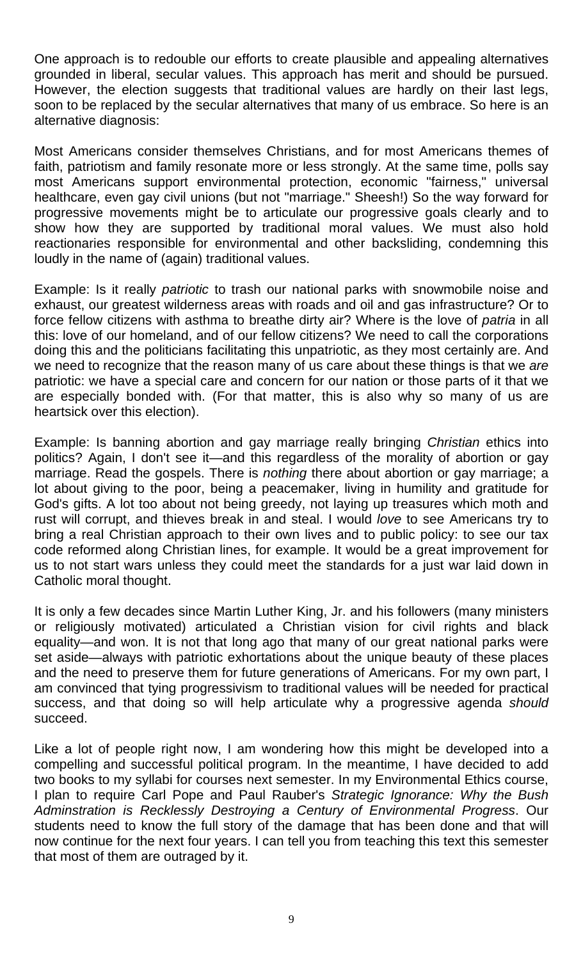One approach is to redouble our efforts to create plausible and appealing alternatives grounded in liberal, secular values. This approach has merit and should be pursued. However, the election suggests that traditional values are hardly on their last legs, soon to be replaced by the secular alternatives that many of us embrace. So here is an alternative diagnosis:

Most Americans consider themselves Christians, and for most Americans themes of faith, patriotism and family resonate more or less strongly. At the same time, polls say most Americans support environmental protection, economic "fairness," universal healthcare, even gay civil unions (but not "marriage." Sheesh!) So the way forward for progressive movements might be to articulate our progressive goals clearly and to show how they are supported by traditional moral values. We must also hold reactionaries responsible for environmental and other backsliding, condemning this loudly in the name of (again) traditional values.

Example: Is it really *patriotic* to trash our national parks with snowmobile noise and exhaust, our greatest wilderness areas with roads and oil and gas infrastructure? Or to force fellow citizens with asthma to breathe dirty air? Where is the love of *patria* in all this: love of our homeland, and of our fellow citizens? We need to call the corporations doing this and the politicians facilitating this unpatriotic, as they most certainly are. And we need to recognize that the reason many of us care about these things is that we *are*  patriotic: we have a special care and concern for our nation or those parts of it that we are especially bonded with. (For that matter, this is also why so many of us are heartsick over this election).

Example: Is banning abortion and gay marriage really bringing *Christian* ethics into politics? Again, I don't see it—and this regardless of the morality of abortion or gay marriage. Read the gospels. There is *nothing* there about abortion or gay marriage; a lot about giving to the poor, being a peacemaker, living in humility and gratitude for God's gifts. A lot too about not being greedy, not laying up treasures which moth and rust will corrupt, and thieves break in and steal. I would *love* to see Americans try to bring a real Christian approach to their own lives and to public policy: to see our tax code reformed along Christian lines, for example. It would be a great improvement for us to not start wars unless they could meet the standards for a just war laid down in Catholic moral thought.

It is only a few decades since Martin Luther King, Jr. and his followers (many ministers or religiously motivated) articulated a Christian vision for civil rights and black equality—and won. It is not that long ago that many of our great national parks were set aside—always with patriotic exhortations about the unique beauty of these places and the need to preserve them for future generations of Americans. For my own part, I am convinced that tying progressivism to traditional values will be needed for practical success, and that doing so will help articulate why a progressive agenda *should*  succeed.

Like a lot of people right now, I am wondering how this might be developed into a compelling and successful political program. In the meantime, I have decided to add two books to my syllabi for courses next semester. In my Environmental Ethics course, I plan to require Carl Pope and Paul Rauber's *Strategic Ignorance: Why the Bush Adminstration is Recklessly Destroying a Century of Environmental Progress*. Our students need to know the full story of the damage that has been done and that will now continue for the next four years. I can tell you from teaching this text this semester that most of them are outraged by it.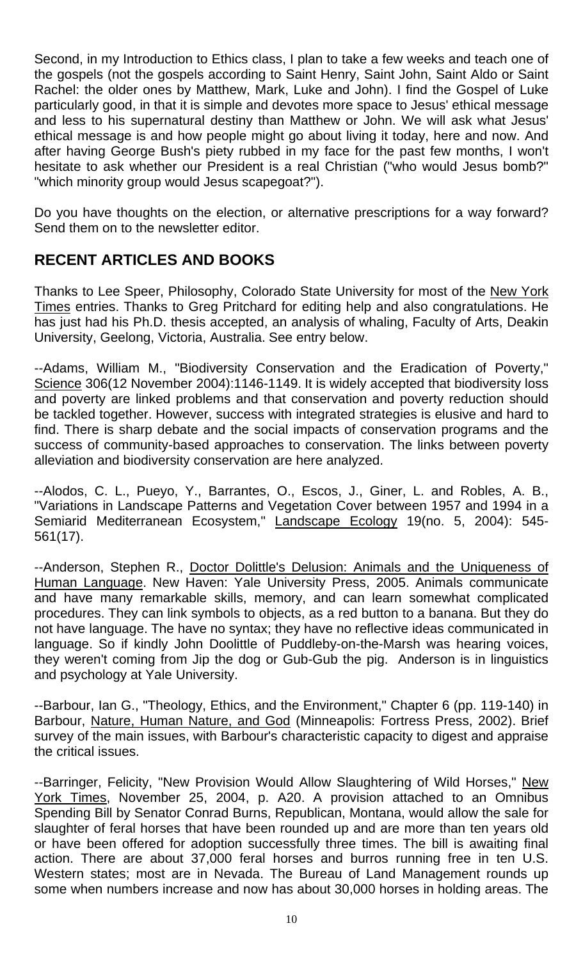Second, in my Introduction to Ethics class, I plan to take a few weeks and teach one of the gospels (not the gospels according to Saint Henry, Saint John, Saint Aldo or Saint Rachel: the older ones by Matthew, Mark, Luke and John). I find the Gospel of Luke particularly good, in that it is simple and devotes more space to Jesus' ethical message and less to his supernatural destiny than Matthew or John. We will ask what Jesus' ethical message is and how people might go about living it today, here and now. And after having George Bush's piety rubbed in my face for the past few months, I won't hesitate to ask whether our President is a real Christian ("who would Jesus bomb?" "which minority group would Jesus scapegoat?").

Do you have thoughts on the election, or alternative prescriptions for a way forward? Send them on to the newsletter editor.

## **RECENT ARTICLES AND BOOKS**

Thanks to Lee Speer, Philosophy, Colorado State University for most of the New York Times entries. Thanks to Greg Pritchard for editing help and also congratulations. He has just had his Ph.D. thesis accepted, an analysis of whaling, Faculty of Arts, Deakin University, Geelong, Victoria, Australia. See entry below.

--Adams, William M., "Biodiversity Conservation and the Eradication of Poverty," Science 306(12 November 2004):1146-1149. It is widely accepted that biodiversity loss and poverty are linked problems and that conservation and poverty reduction should be tackled together. However, success with integrated strategies is elusive and hard to find. There is sharp debate and the social impacts of conservation programs and the success of community-based approaches to conservation. The links between poverty alleviation and biodiversity conservation are here analyzed.

--Alodos, C. L., Pueyo, Y., Barrantes, O., Escos, J., Giner, L. and Robles, A. B., "Variations in Landscape Patterns and Vegetation Cover between 1957 and 1994 in a Semiarid Mediterranean Ecosystem," Landscape Ecology 19(no. 5, 2004): 545- 561(17).

--Anderson, Stephen R., Doctor Dolittle's Delusion: Animals and the Uniqueness of Human Language. New Haven: Yale University Press, 2005. Animals communicate and have many remarkable skills, memory, and can learn somewhat complicated procedures. They can link symbols to objects, as a red button to a banana. But they do not have language. The have no syntax; they have no reflective ideas communicated in language. So if kindly John Doolittle of Puddleby-on-the-Marsh was hearing voices, they weren't coming from Jip the dog or Gub-Gub the pig. Anderson is in linguistics and psychology at Yale University.

--Barbour, Ian G., "Theology, Ethics, and the Environment," Chapter 6 (pp. 119-140) in Barbour, Nature, Human Nature, and God (Minneapolis: Fortress Press, 2002). Brief survey of the main issues, with Barbour's characteristic capacity to digest and appraise the critical issues.

--Barringer, Felicity, "New Provision Would Allow Slaughtering of Wild Horses," New York Times, November 25, 2004, p. A20. A provision attached to an Omnibus Spending Bill by Senator Conrad Burns, Republican, Montana, would allow the sale for slaughter of feral horses that have been rounded up and are more than ten years old or have been offered for adoption successfully three times. The bill is awaiting final action. There are about 37,000 feral horses and burros running free in ten U.S. Western states; most are in Nevada. The Bureau of Land Management rounds up some when numbers increase and now has about 30,000 horses in holding areas. The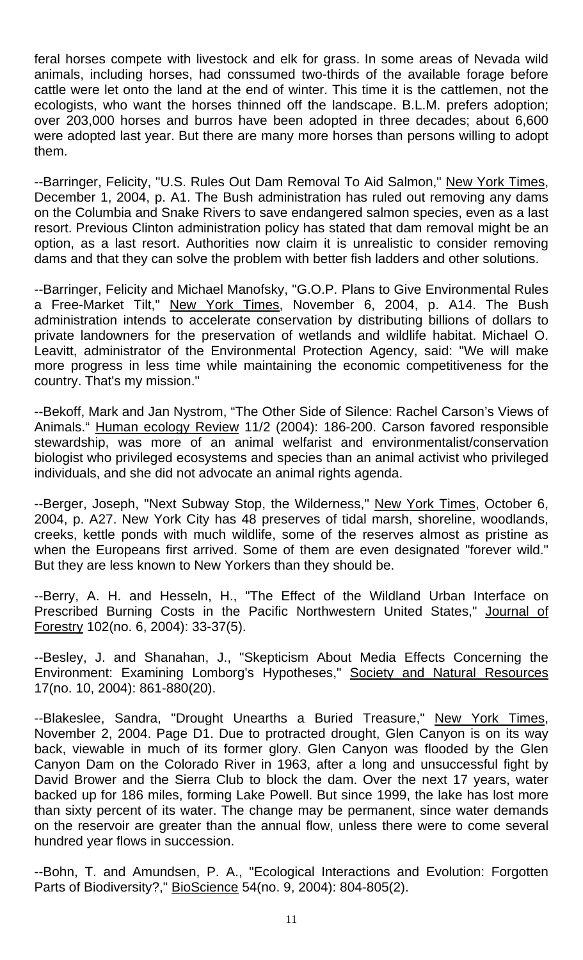feral horses compete with livestock and elk for grass. In some areas of Nevada wild animals, including horses, had conssumed two-thirds of the available forage before cattle were let onto the land at the end of winter. This time it is the cattlemen, not the ecologists, who want the horses thinned off the landscape. B.L.M. prefers adoption; over 203,000 horses and burros have been adopted in three decades; about 6,600 were adopted last year. But there are many more horses than persons willing to adopt them.

--Barringer, Felicity, "U.S. Rules Out Dam Removal To Aid Salmon," New York Times, December 1, 2004, p. A1. The Bush administration has ruled out removing any dams on the Columbia and Snake Rivers to save endangered salmon species, even as a last resort. Previous Clinton administration policy has stated that dam removal might be an option, as a last resort. Authorities now claim it is unrealistic to consider removing dams and that they can solve the problem with better fish ladders and other solutions.

--Barringer, Felicity and Michael Manofsky, "G.O.P. Plans to Give Environmental Rules a Free-Market Tilt," New York Times, November 6, 2004, p. A14. The Bush administration intends to accelerate conservation by distributing billions of dollars to private landowners for the preservation of wetlands and wildlife habitat. Michael O. Leavitt, administrator of the Environmental Protection Agency, said: "We will make more progress in less time while maintaining the economic competitiveness for the country. That's my mission."

--Bekoff, Mark and Jan Nystrom, "The Other Side of Silence: Rachel Carson's Views of Animals." Human ecology Review 11/2 (2004): 186-200. Carson favored responsible stewardship, was more of an animal welfarist and environmentalist/conservation biologist who privileged ecosystems and species than an animal activist who privileged individuals, and she did not advocate an animal rights agenda.

--Berger, Joseph, "Next Subway Stop, the Wilderness," New York Times, October 6, 2004, p. A27. New York City has 48 preserves of tidal marsh, shoreline, woodlands, creeks, kettle ponds with much wildlife, some of the reserves almost as pristine as when the Europeans first arrived. Some of them are even designated "forever wild." But they are less known to New Yorkers than they should be.

--Berry, A. H. and Hesseln, H., "The Effect of the Wildland Urban Interface on Prescribed Burning Costs in the Pacific Northwestern United States," Journal of Forestry 102(no. 6, 2004): 33-37(5).

--Besley, J. and Shanahan, J., "Skepticism About Media Effects Concerning the Environment: Examining Lomborg's Hypotheses," Society and Natural Resources 17(no. 10, 2004): 861-880(20).

--Blakeslee, Sandra, "Drought Unearths a Buried Treasure," New York Times, November 2, 2004. Page D1. Due to protracted drought, Glen Canyon is on its way back, viewable in much of its former glory. Glen Canyon was flooded by the Glen Canyon Dam on the Colorado River in 1963, after a long and unsuccessful fight by David Brower and the Sierra Club to block the dam. Over the next 17 years, water backed up for 186 miles, forming Lake Powell. But since 1999, the lake has lost more than sixty percent of its water. The change may be permanent, since water demands on the reservoir are greater than the annual flow, unless there were to come several hundred year flows in succession.

--Bohn, T. and Amundsen, P. A., "Ecological Interactions and Evolution: Forgotten Parts of Biodiversity?," BioScience 54(no. 9, 2004): 804-805(2).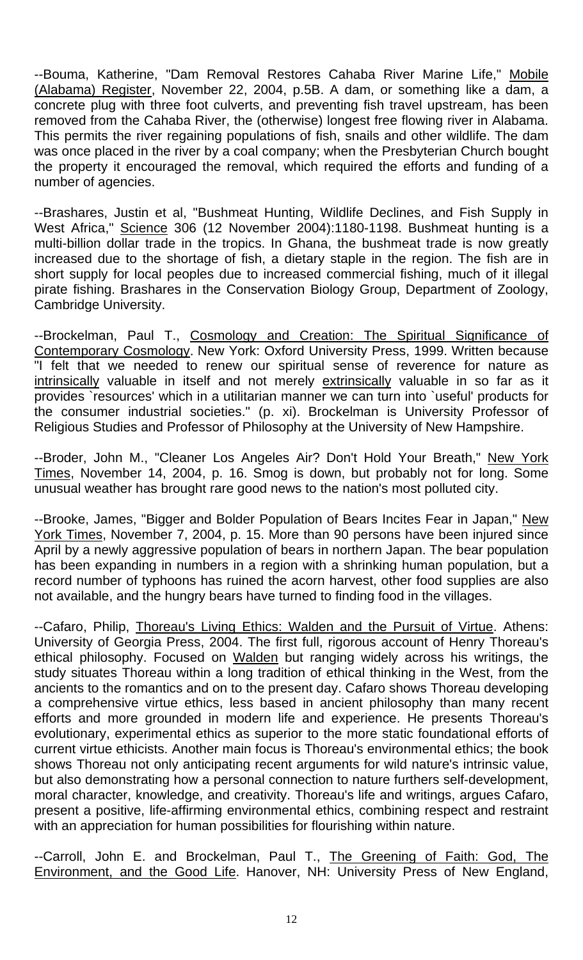--Bouma, Katherine, "Dam Removal Restores Cahaba River Marine Life," Mobile (Alabama) Register, November 22, 2004, p.5B. A dam, or something like a dam, a concrete plug with three foot culverts, and preventing fish travel upstream, has been removed from the Cahaba River, the (otherwise) longest free flowing river in Alabama. This permits the river regaining populations of fish, snails and other wildlife. The dam was once placed in the river by a coal company; when the Presbyterian Church bought the property it encouraged the removal, which required the efforts and funding of a number of agencies.

--Brashares, Justin et al, "Bushmeat Hunting, Wildlife Declines, and Fish Supply in West Africa," Science 306 (12 November 2004):1180-1198. Bushmeat hunting is a multi-billion dollar trade in the tropics. In Ghana, the bushmeat trade is now greatly increased due to the shortage of fish, a dietary staple in the region. The fish are in short supply for local peoples due to increased commercial fishing, much of it illegal pirate fishing. Brashares in the Conservation Biology Group, Department of Zoology, Cambridge University.

--Brockelman, Paul T., Cosmology and Creation: The Spiritual Significance of Contemporary Cosmology. New York: Oxford University Press, 1999. Written because "I felt that we needed to renew our spiritual sense of reverence for nature as intrinsically valuable in itself and not merely extrinsically valuable in so far as it provides `resources' which in a utilitarian manner we can turn into `useful' products for the consumer industrial societies." (p. xi). Brockelman is University Professor of Religious Studies and Professor of Philosophy at the University of New Hampshire.

--Broder, John M., "Cleaner Los Angeles Air? Don't Hold Your Breath," New York Times, November 14, 2004, p. 16. Smog is down, but probably not for long. Some unusual weather has brought rare good news to the nation's most polluted city.

--Brooke, James, "Bigger and Bolder Population of Bears Incites Fear in Japan," New York Times, November 7, 2004, p. 15. More than 90 persons have been injured since April by a newly aggressive population of bears in northern Japan. The bear population has been expanding in numbers in a region with a shrinking human population, but a record number of typhoons has ruined the acorn harvest, other food supplies are also not available, and the hungry bears have turned to finding food in the villages.

--Cafaro, Philip, Thoreau's Living Ethics: Walden and the Pursuit of Virtue. Athens: University of Georgia Press, 2004. The first full, rigorous account of Henry Thoreau's ethical philosophy. Focused on Walden but ranging widely across his writings, the study situates Thoreau within a long tradition of ethical thinking in the West, from the ancients to the romantics and on to the present day. Cafaro shows Thoreau developing a comprehensive virtue ethics, less based in ancient philosophy than many recent efforts and more grounded in modern life and experience. He presents Thoreau's evolutionary, experimental ethics as superior to the more static foundational efforts of current virtue ethicists. Another main focus is Thoreau's environmental ethics; the book shows Thoreau not only anticipating recent arguments for wild nature's intrinsic value, but also demonstrating how a personal connection to nature furthers self-development, moral character, knowledge, and creativity. Thoreau's life and writings, argues Cafaro, present a positive, life-affirming environmental ethics, combining respect and restraint with an appreciation for human possibilities for flourishing within nature.

--Carroll, John E. and Brockelman, Paul T., The Greening of Faith: God, The Environment, and the Good Life. Hanover, NH: University Press of New England,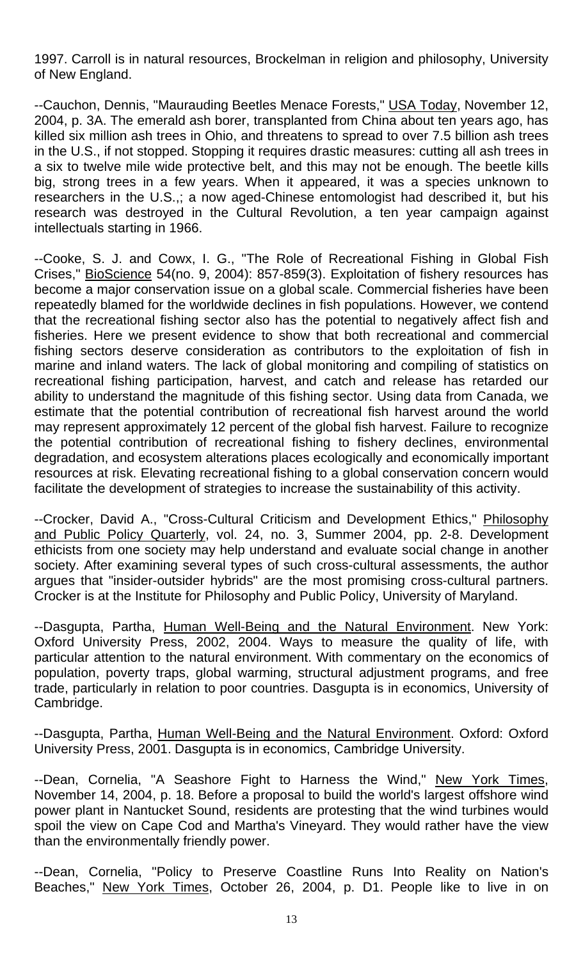1997. Carroll is in natural resources, Brockelman in religion and philosophy, University of New England.

--Cauchon, Dennis, "Maurauding Beetles Menace Forests," USA Today, November 12, 2004, p. 3A. The emerald ash borer, transplanted from China about ten years ago, has killed six million ash trees in Ohio, and threatens to spread to over 7.5 billion ash trees in the U.S., if not stopped. Stopping it requires drastic measures: cutting all ash trees in a six to twelve mile wide protective belt, and this may not be enough. The beetle kills big, strong trees in a few years. When it appeared, it was a species unknown to researchers in the U.S.,; a now aged-Chinese entomologist had described it, but his research was destroyed in the Cultural Revolution, a ten year campaign against intellectuals starting in 1966.

--Cooke, S. J. and Cowx, I. G., "The Role of Recreational Fishing in Global Fish Crises," BioScience 54(no. 9, 2004): 857-859(3). Exploitation of fishery resources has become a major conservation issue on a global scale. Commercial fisheries have been repeatedly blamed for the worldwide declines in fish populations. However, we contend that the recreational fishing sector also has the potential to negatively affect fish and fisheries. Here we present evidence to show that both recreational and commercial fishing sectors deserve consideration as contributors to the exploitation of fish in marine and inland waters. The lack of global monitoring and compiling of statistics on recreational fishing participation, harvest, and catch and release has retarded our ability to understand the magnitude of this fishing sector. Using data from Canada, we estimate that the potential contribution of recreational fish harvest around the world may represent approximately 12 percent of the global fish harvest. Failure to recognize the potential contribution of recreational fishing to fishery declines, environmental degradation, and ecosystem alterations places ecologically and economically important resources at risk. Elevating recreational fishing to a global conservation concern would facilitate the development of strategies to increase the sustainability of this activity.

--Crocker, David A., "Cross-Cultural Criticism and Development Ethics," Philosophy and Public Policy Quarterly, vol. 24, no. 3, Summer 2004, pp. 2-8. Development ethicists from one society may help understand and evaluate social change in another society. After examining several types of such cross-cultural assessments, the author argues that "insider-outsider hybrids" are the most promising cross-cultural partners. Crocker is at the Institute for Philosophy and Public Policy, University of Maryland.

--Dasgupta, Partha, Human Well-Being and the Natural Environment. New York: Oxford University Press, 2002, 2004. Ways to measure the quality of life, with particular attention to the natural environment. With commentary on the economics of population, poverty traps, global warming, structural adjustment programs, and free trade, particularly in relation to poor countries. Dasgupta is in economics, University of Cambridge.

--Dasgupta, Partha, Human Well-Being and the Natural Environment. Oxford: Oxford University Press, 2001. Dasgupta is in economics, Cambridge University.

--Dean, Cornelia, "A Seashore Fight to Harness the Wind," New York Times, November 14, 2004, p. 18. Before a proposal to build the world's largest offshore wind power plant in Nantucket Sound, residents are protesting that the wind turbines would spoil the view on Cape Cod and Martha's Vineyard. They would rather have the view than the environmentally friendly power.

--Dean, Cornelia, "Policy to Preserve Coastline Runs Into Reality on Nation's Beaches," New York Times, October 26, 2004, p. D1. People like to live in on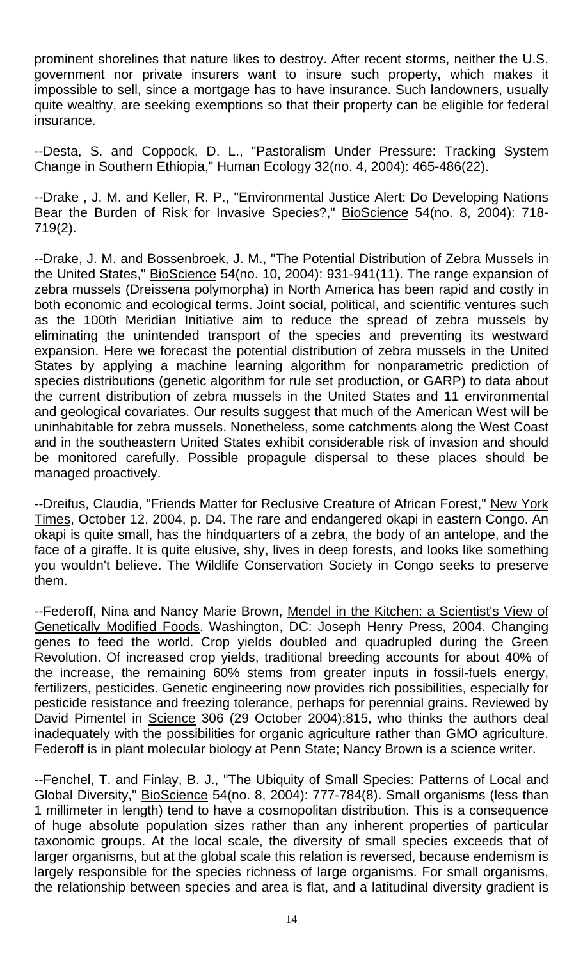prominent shorelines that nature likes to destroy. After recent storms, neither the U.S. government nor private insurers want to insure such property, which makes it impossible to sell, since a mortgage has to have insurance. Such landowners, usually quite wealthy, are seeking exemptions so that their property can be eligible for federal insurance.

--Desta, S. and Coppock, D. L., "Pastoralism Under Pressure: Tracking System Change in Southern Ethiopia," Human Ecology 32(no. 4, 2004): 465-486(22).

--Drake , J. M. and Keller, R. P., "Environmental Justice Alert: Do Developing Nations Bear the Burden of Risk for Invasive Species?," BioScience 54(no. 8, 2004): 718- 719(2).

--Drake, J. M. and Bossenbroek, J. M., "The Potential Distribution of Zebra Mussels in the United States," BioScience 54(no. 10, 2004): 931-941(11). The range expansion of zebra mussels (Dreissena polymorpha) in North America has been rapid and costly in both economic and ecological terms. Joint social, political, and scientific ventures such as the 100th Meridian Initiative aim to reduce the spread of zebra mussels by eliminating the unintended transport of the species and preventing its westward expansion. Here we forecast the potential distribution of zebra mussels in the United States by applying a machine learning algorithm for nonparametric prediction of species distributions (genetic algorithm for rule set production, or GARP) to data about the current distribution of zebra mussels in the United States and 11 environmental and geological covariates. Our results suggest that much of the American West will be uninhabitable for zebra mussels. Nonetheless, some catchments along the West Coast and in the southeastern United States exhibit considerable risk of invasion and should be monitored carefully. Possible propagule dispersal to these places should be managed proactively.

--Dreifus, Claudia, "Friends Matter for Reclusive Creature of African Forest," New York Times, October 12, 2004, p. D4. The rare and endangered okapi in eastern Congo. An okapi is quite small, has the hindquarters of a zebra, the body of an antelope, and the face of a giraffe. It is quite elusive, shy, lives in deep forests, and looks like something you wouldn't believe. The Wildlife Conservation Society in Congo seeks to preserve them.

--Federoff, Nina and Nancy Marie Brown, Mendel in the Kitchen: a Scientist's View of Genetically Modified Foods. Washington, DC: Joseph Henry Press, 2004. Changing genes to feed the world. Crop yields doubled and quadrupled during the Green Revolution. Of increased crop yields, traditional breeding accounts for about 40% of the increase, the remaining 60% stems from greater inputs in fossil-fuels energy, fertilizers, pesticides. Genetic engineering now provides rich possibilities, especially for pesticide resistance and freezing tolerance, perhaps for perennial grains. Reviewed by David Pimentel in Science 306 (29 October 2004):815, who thinks the authors deal inadequately with the possibilities for organic agriculture rather than GMO agriculture. Federoff is in plant molecular biology at Penn State; Nancy Brown is a science writer.

--Fenchel, T. and Finlay, B. J., "The Ubiquity of Small Species: Patterns of Local and Global Diversity," BioScience 54(no. 8, 2004): 777-784(8). Small organisms (less than 1 millimeter in length) tend to have a cosmopolitan distribution. This is a consequence of huge absolute population sizes rather than any inherent properties of particular taxonomic groups. At the local scale, the diversity of small species exceeds that of larger organisms, but at the global scale this relation is reversed, because endemism is largely responsible for the species richness of large organisms. For small organisms, the relationship between species and area is flat, and a latitudinal diversity gradient is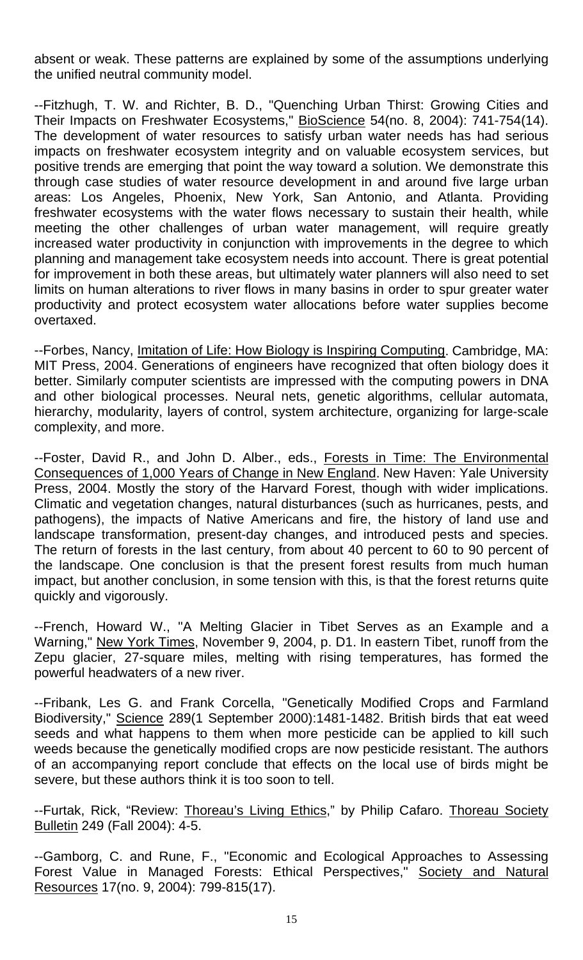absent or weak. These patterns are explained by some of the assumptions underlying the unified neutral community model.

--Fitzhugh, T. W. and Richter, B. D., "Quenching Urban Thirst: Growing Cities and Their Impacts on Freshwater Ecosystems," BioScience 54(no. 8, 2004): 741-754(14). The development of water resources to satisfy urban water needs has had serious impacts on freshwater ecosystem integrity and on valuable ecosystem services, but positive trends are emerging that point the way toward a solution. We demonstrate this through case studies of water resource development in and around five large urban areas: Los Angeles, Phoenix, New York, San Antonio, and Atlanta. Providing freshwater ecosystems with the water flows necessary to sustain their health, while meeting the other challenges of urban water management, will require greatly increased water productivity in conjunction with improvements in the degree to which planning and management take ecosystem needs into account. There is great potential for improvement in both these areas, but ultimately water planners will also need to set limits on human alterations to river flows in many basins in order to spur greater water productivity and protect ecosystem water allocations before water supplies become overtaxed.

--Forbes, Nancy, Imitation of Life: How Biology is Inspiring Computing. Cambridge, MA: MIT Press, 2004. Generations of engineers have recognized that often biology does it better. Similarly computer scientists are impressed with the computing powers in DNA and other biological processes. Neural nets, genetic algorithms, cellular automata, hierarchy, modularity, layers of control, system architecture, organizing for large-scale complexity, and more.

--Foster, David R., and John D. Alber., eds., Forests in Time: The Environmental Consequences of 1,000 Years of Change in New England. New Haven: Yale University Press, 2004. Mostly the story of the Harvard Forest, though with wider implications. Climatic and vegetation changes, natural disturbances (such as hurricanes, pests, and pathogens), the impacts of Native Americans and fire, the history of land use and landscape transformation, present-day changes, and introduced pests and species. The return of forests in the last century, from about 40 percent to 60 to 90 percent of the landscape. One conclusion is that the present forest results from much human impact, but another conclusion, in some tension with this, is that the forest returns quite quickly and vigorously.

--French, Howard W., "A Melting Glacier in Tibet Serves as an Example and a Warning," New York Times, November 9, 2004, p. D1. In eastern Tibet, runoff from the Zepu glacier, 27-square miles, melting with rising temperatures, has formed the powerful headwaters of a new river.

--Fribank, Les G. and Frank Corcella, "Genetically Modified Crops and Farmland Biodiversity," Science 289(1 September 2000):1481-1482. British birds that eat weed seeds and what happens to them when more pesticide can be applied to kill such weeds because the genetically modified crops are now pesticide resistant. The authors of an accompanying report conclude that effects on the local use of birds might be severe, but these authors think it is too soon to tell.

--Furtak, Rick, "Review: Thoreau's Living Ethics," by Philip Cafaro. Thoreau Society Bulletin 249 (Fall 2004): 4-5.

--Gamborg, C. and Rune, F., "Economic and Ecological Approaches to Assessing Forest Value in Managed Forests: Ethical Perspectives," Society and Natural Resources 17(no. 9, 2004): 799-815(17).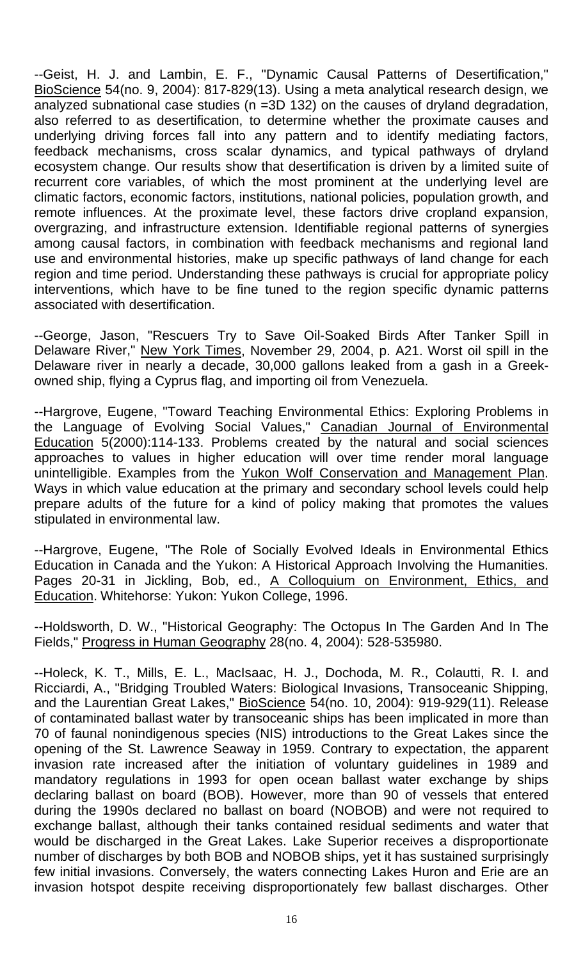--Geist, H. J. and Lambin, E. F., "Dynamic Causal Patterns of Desertification," BioScience 54(no. 9, 2004): 817-829(13). Using a meta analytical research design, we analyzed subnational case studies (n =3D 132) on the causes of dryland degradation, also referred to as desertification, to determine whether the proximate causes and underlying driving forces fall into any pattern and to identify mediating factors, feedback mechanisms, cross scalar dynamics, and typical pathways of dryland ecosystem change. Our results show that desertification is driven by a limited suite of recurrent core variables, of which the most prominent at the underlying level are climatic factors, economic factors, institutions, national policies, population growth, and remote influences. At the proximate level, these factors drive cropland expansion, overgrazing, and infrastructure extension. Identifiable regional patterns of synergies among causal factors, in combination with feedback mechanisms and regional land use and environmental histories, make up specific pathways of land change for each region and time period. Understanding these pathways is crucial for appropriate policy interventions, which have to be fine tuned to the region specific dynamic patterns associated with desertification.

--George, Jason, "Rescuers Try to Save Oil-Soaked Birds After Tanker Spill in Delaware River," New York Times, November 29, 2004, p. A21. Worst oil spill in the Delaware river in nearly a decade, 30,000 gallons leaked from a gash in a Greekowned ship, flying a Cyprus flag, and importing oil from Venezuela.

--Hargrove, Eugene, "Toward Teaching Environmental Ethics: Exploring Problems in the Language of Evolving Social Values," Canadian Journal of Environmental Education 5(2000):114-133. Problems created by the natural and social sciences approaches to values in higher education will over time render moral language unintelligible. Examples from the Yukon Wolf Conservation and Management Plan. Ways in which value education at the primary and secondary school levels could help prepare adults of the future for a kind of policy making that promotes the values stipulated in environmental law.

--Hargrove, Eugene, "The Role of Socially Evolved Ideals in Environmental Ethics Education in Canada and the Yukon: A Historical Approach Involving the Humanities. Pages 20-31 in Jickling, Bob, ed., A Colloquium on Environment, Ethics, and Education. Whitehorse: Yukon: Yukon College, 1996.

--Holdsworth, D. W., "Historical Geography: The Octopus In The Garden And In The Fields," Progress in Human Geography 28(no. 4, 2004): 528-535980.

--Holeck, K. T., Mills, E. L., MacIsaac, H. J., Dochoda, M. R., Colautti, R. I. and Ricciardi, A., "Bridging Troubled Waters: Biological Invasions, Transoceanic Shipping, and the Laurentian Great Lakes," BioScience 54(no. 10, 2004): 919-929(11). Release of contaminated ballast water by transoceanic ships has been implicated in more than 70 of faunal nonindigenous species (NIS) introductions to the Great Lakes since the opening of the St. Lawrence Seaway in 1959. Contrary to expectation, the apparent invasion rate increased after the initiation of voluntary guidelines in 1989 and mandatory regulations in 1993 for open ocean ballast water exchange by ships declaring ballast on board (BOB). However, more than 90 of vessels that entered during the 1990s declared no ballast on board (NOBOB) and were not required to exchange ballast, although their tanks contained residual sediments and water that would be discharged in the Great Lakes. Lake Superior receives a disproportionate number of discharges by both BOB and NOBOB ships, yet it has sustained surprisingly few initial invasions. Conversely, the waters connecting Lakes Huron and Erie are an invasion hotspot despite receiving disproportionately few ballast discharges. Other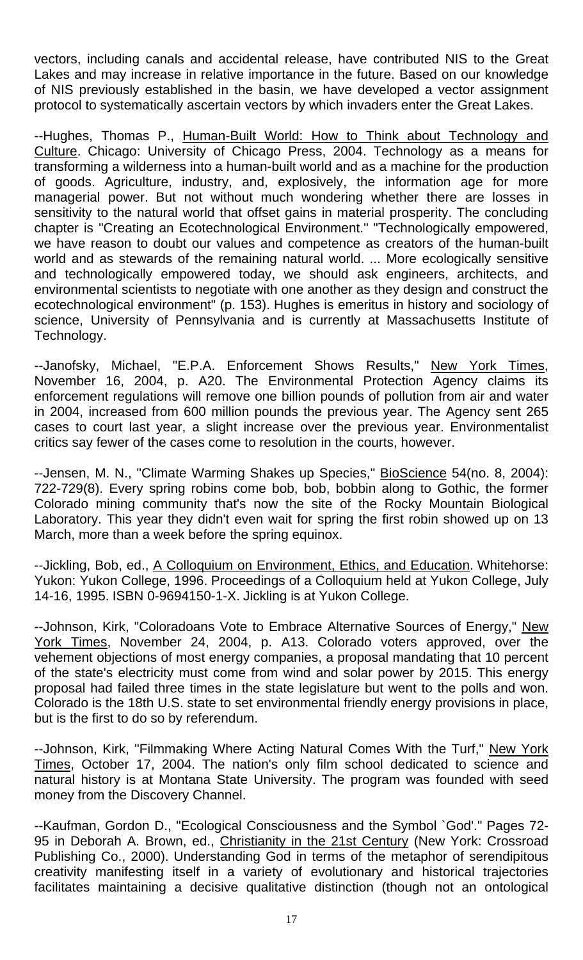vectors, including canals and accidental release, have contributed NIS to the Great Lakes and may increase in relative importance in the future. Based on our knowledge of NIS previously established in the basin, we have developed a vector assignment protocol to systematically ascertain vectors by which invaders enter the Great Lakes.

--Hughes, Thomas P., Human-Built World: How to Think about Technology and Culture. Chicago: University of Chicago Press, 2004. Technology as a means for transforming a wilderness into a human-built world and as a machine for the production of goods. Agriculture, industry, and, explosively, the information age for more managerial power. But not without much wondering whether there are losses in sensitivity to the natural world that offset gains in material prosperity. The concluding chapter is "Creating an Ecotechnological Environment." "Technologically empowered, we have reason to doubt our values and competence as creators of the human-built world and as stewards of the remaining natural world. ... More ecologically sensitive and technologically empowered today, we should ask engineers, architects, and environmental scientists to negotiate with one another as they design and construct the ecotechnological environment" (p. 153). Hughes is emeritus in history and sociology of science, University of Pennsylvania and is currently at Massachusetts Institute of Technology.

--Janofsky, Michael, "E.P.A. Enforcement Shows Results," New York Times, November 16, 2004, p. A20. The Environmental Protection Agency claims its enforcement regulations will remove one billion pounds of pollution from air and water in 2004, increased from 600 million pounds the previous year. The Agency sent 265 cases to court last year, a slight increase over the previous year. Environmentalist critics say fewer of the cases come to resolution in the courts, however.

-- Jensen, M. N., "Climate Warming Shakes up Species," BioScience 54(no. 8, 2004): 722-729(8). Every spring robins come bob, bob, bobbin along to Gothic, the former Colorado mining community that's now the site of the Rocky Mountain Biological Laboratory. This year they didn't even wait for spring the first robin showed up on 13 March, more than a week before the spring equinox.

--Jickling, Bob, ed., A Colloquium on Environment, Ethics, and Education. Whitehorse: Yukon: Yukon College, 1996. Proceedings of a Colloquium held at Yukon College, July 14-16, 1995. ISBN 0-9694150-1-X. Jickling is at Yukon College.

--Johnson, Kirk, "Coloradoans Vote to Embrace Alternative Sources of Energy," New York Times, November 24, 2004, p. A13. Colorado voters approved, over the vehement objections of most energy companies, a proposal mandating that 10 percent of the state's electricity must come from wind and solar power by 2015. This energy proposal had failed three times in the state legislature but went to the polls and won. Colorado is the 18th U.S. state to set environmental friendly energy provisions in place, but is the first to do so by referendum.

--Johnson, Kirk, "Filmmaking Where Acting Natural Comes With the Turf," New York Times, October 17, 2004. The nation's only film school dedicated to science and natural history is at Montana State University. The program was founded with seed money from the Discovery Channel.

--Kaufman, Gordon D., "Ecological Consciousness and the Symbol `God'." Pages 72- 95 in Deborah A. Brown, ed., Christianity in the 21st Century (New York: Crossroad Publishing Co., 2000). Understanding God in terms of the metaphor of serendipitous creativity manifesting itself in a variety of evolutionary and historical trajectories facilitates maintaining a decisive qualitative distinction (though not an ontological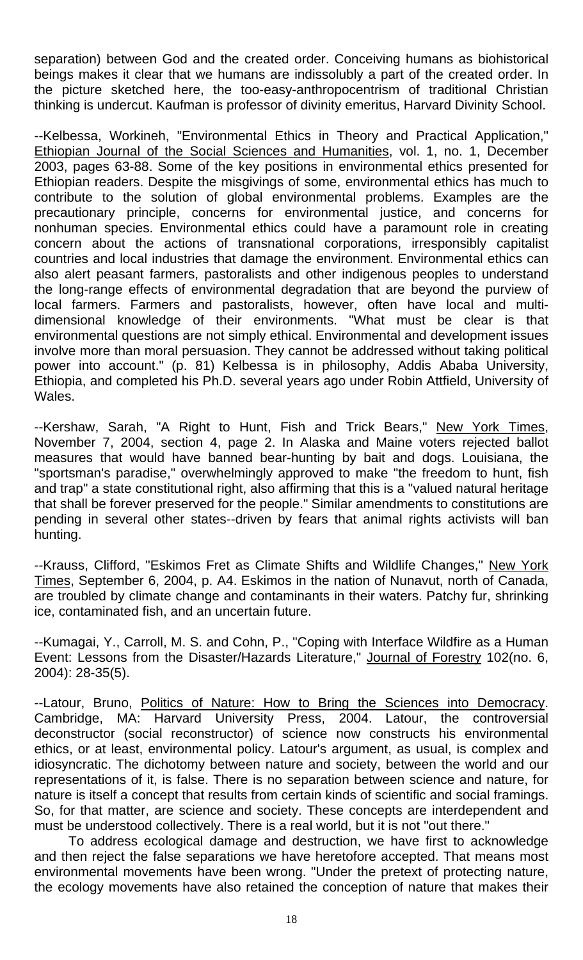separation) between God and the created order. Conceiving humans as biohistorical beings makes it clear that we humans are indissolubly a part of the created order. In the picture sketched here, the too-easy-anthropocentrism of traditional Christian thinking is undercut. Kaufman is professor of divinity emeritus, Harvard Divinity School.

--Kelbessa, Workineh, "Environmental Ethics in Theory and Practical Application," Ethiopian Journal of the Social Sciences and Humanities, vol. 1, no. 1, December 2003, pages 63-88. Some of the key positions in environmental ethics presented for Ethiopian readers. Despite the misgivings of some, environmental ethics has much to contribute to the solution of global environmental problems. Examples are the precautionary principle, concerns for environmental justice, and concerns for nonhuman species. Environmental ethics could have a paramount role in creating concern about the actions of transnational corporations, irresponsibly capitalist countries and local industries that damage the environment. Environmental ethics can also alert peasant farmers, pastoralists and other indigenous peoples to understand the long-range effects of environmental degradation that are beyond the purview of local farmers. Farmers and pastoralists, however, often have local and multidimensional knowledge of their environments. "What must be clear is that environmental questions are not simply ethical. Environmental and development issues involve more than moral persuasion. They cannot be addressed without taking political power into account." (p. 81) Kelbessa is in philosophy, Addis Ababa University, Ethiopia, and completed his Ph.D. several years ago under Robin Attfield, University of Wales.

--Kershaw, Sarah, "A Right to Hunt, Fish and Trick Bears," New York Times, November 7, 2004, section 4, page 2. In Alaska and Maine voters rejected ballot measures that would have banned bear-hunting by bait and dogs. Louisiana, the "sportsman's paradise," overwhelmingly approved to make "the freedom to hunt, fish and trap" a state constitutional right, also affirming that this is a "valued natural heritage that shall be forever preserved for the people." Similar amendments to constitutions are pending in several other states--driven by fears that animal rights activists will ban hunting.

--Krauss, Clifford, "Eskimos Fret as Climate Shifts and Wildlife Changes," New York Times, September 6, 2004, p. A4. Eskimos in the nation of Nunavut, north of Canada, are troubled by climate change and contaminants in their waters. Patchy fur, shrinking ice, contaminated fish, and an uncertain future.

--Kumagai, Y., Carroll, M. S. and Cohn, P., "Coping with Interface Wildfire as a Human Event: Lessons from the Disaster/Hazards Literature," Journal of Forestry 102(no. 6, 2004): 28-35(5).

--Latour, Bruno, Politics of Nature: How to Bring the Sciences into Democracy. Cambridge, MA: Harvard University Press, 2004. Latour, the controversial deconstructor (social reconstructor) of science now constructs his environmental ethics, or at least, environmental policy. Latour's argument, as usual, is complex and idiosyncratic. The dichotomy between nature and society, between the world and our representations of it, is false. There is no separation between science and nature, for nature is itself a concept that results from certain kinds of scientific and social framings. So, for that matter, are science and society. These concepts are interdependent and must be understood collectively. There is a real world, but it is not "out there."

 To address ecological damage and destruction, we have first to acknowledge and then reject the false separations we have heretofore accepted. That means most environmental movements have been wrong. "Under the pretext of protecting nature, the ecology movements have also retained the conception of nature that makes their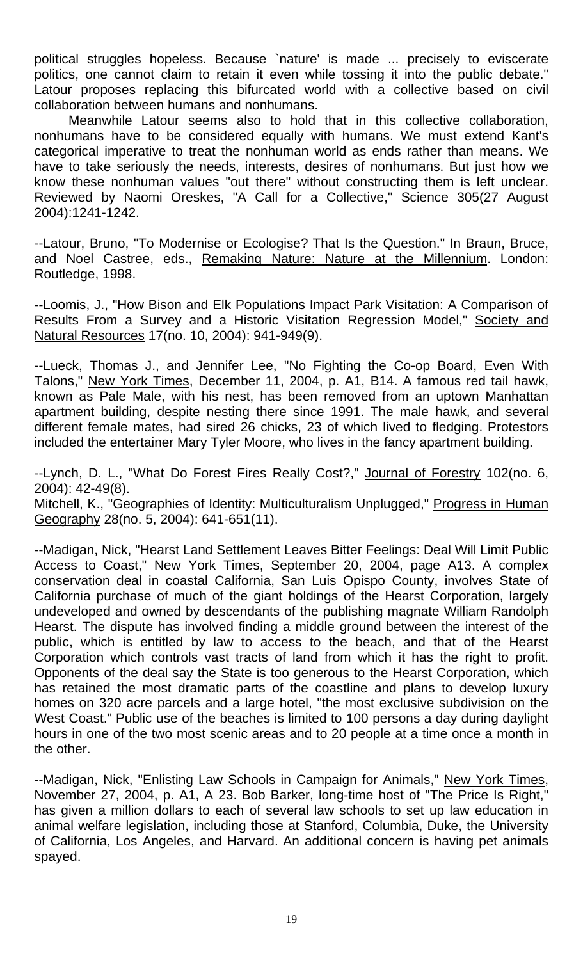political struggles hopeless. Because `nature' is made ... precisely to eviscerate politics, one cannot claim to retain it even while tossing it into the public debate." Latour proposes replacing this bifurcated world with a collective based on civil collaboration between humans and nonhumans.

 Meanwhile Latour seems also to hold that in this collective collaboration, nonhumans have to be considered equally with humans. We must extend Kant's categorical imperative to treat the nonhuman world as ends rather than means. We have to take seriously the needs, interests, desires of nonhumans. But just how we know these nonhuman values "out there" without constructing them is left unclear. Reviewed by Naomi Oreskes, "A Call for a Collective," Science 305(27 August 2004):1241-1242.

--Latour, Bruno, "To Modernise or Ecologise? That Is the Question." In Braun, Bruce, and Noel Castree, eds., Remaking Nature: Nature at the Millennium. London: Routledge, 1998.

--Loomis, J., "How Bison and Elk Populations Impact Park Visitation: A Comparison of Results From a Survey and a Historic Visitation Regression Model," Society and Natural Resources 17(no. 10, 2004): 941-949(9).

--Lueck, Thomas J., and Jennifer Lee, "No Fighting the Co-op Board, Even With Talons," New York Times, December 11, 2004, p. A1, B14. A famous red tail hawk, known as Pale Male, with his nest, has been removed from an uptown Manhattan apartment building, despite nesting there since 1991. The male hawk, and several different female mates, had sired 26 chicks, 23 of which lived to fledging. Protestors included the entertainer Mary Tyler Moore, who lives in the fancy apartment building.

--Lynch, D. L., "What Do Forest Fires Really Cost?," Journal of Forestry 102(no. 6, 2004): 42-49(8). Mitchell, K., "Geographies of Identity: Multiculturalism Unplugged," Progress in Human Geography 28(no. 5, 2004): 641-651(11).

--Madigan, Nick, "Hearst Land Settlement Leaves Bitter Feelings: Deal Will Limit Public Access to Coast," New York Times, September 20, 2004, page A13. A complex conservation deal in coastal California, San Luis Opispo County, involves State of California purchase of much of the giant holdings of the Hearst Corporation, largely undeveloped and owned by descendants of the publishing magnate William Randolph Hearst. The dispute has involved finding a middle ground between the interest of the public, which is entitled by law to access to the beach, and that of the Hearst Corporation which controls vast tracts of land from which it has the right to profit. Opponents of the deal say the State is too generous to the Hearst Corporation, which has retained the most dramatic parts of the coastline and plans to develop luxury homes on 320 acre parcels and a large hotel, "the most exclusive subdivision on the West Coast." Public use of the beaches is limited to 100 persons a day during daylight hours in one of the two most scenic areas and to 20 people at a time once a month in the other.

--Madigan, Nick, "Enlisting Law Schools in Campaign for Animals," New York Times, November 27, 2004, p. A1, A 23. Bob Barker, long-time host of "The Price Is Right," has given a million dollars to each of several law schools to set up law education in animal welfare legislation, including those at Stanford, Columbia, Duke, the University of California, Los Angeles, and Harvard. An additional concern is having pet animals spayed.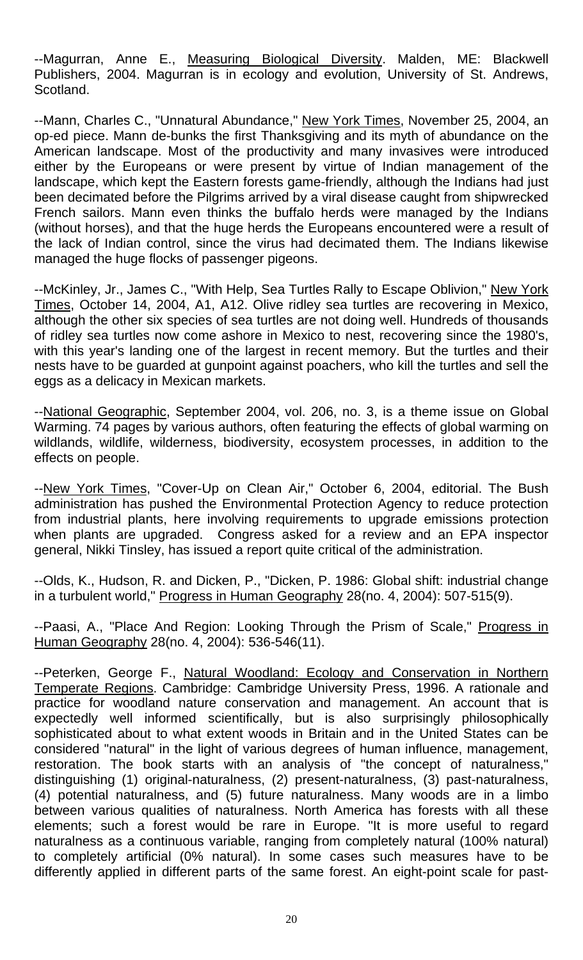--Magurran, Anne E., Measuring Biological Diversity. Malden, ME: Blackwell Publishers, 2004. Magurran is in ecology and evolution, University of St. Andrews, Scotland.

--Mann, Charles C., "Unnatural Abundance," New York Times, November 25, 2004, an op-ed piece. Mann de-bunks the first Thanksgiving and its myth of abundance on the American landscape. Most of the productivity and many invasives were introduced either by the Europeans or were present by virtue of Indian management of the landscape, which kept the Eastern forests game-friendly, although the Indians had just been decimated before the Pilgrims arrived by a viral disease caught from shipwrecked French sailors. Mann even thinks the buffalo herds were managed by the Indians (without horses), and that the huge herds the Europeans encountered were a result of the lack of Indian control, since the virus had decimated them. The Indians likewise managed the huge flocks of passenger pigeons.

--McKinley, Jr., James C., "With Help, Sea Turtles Rally to Escape Oblivion," New York Times, October 14, 2004, A1, A12. Olive ridley sea turtles are recovering in Mexico, although the other six species of sea turtles are not doing well. Hundreds of thousands of ridley sea turtles now come ashore in Mexico to nest, recovering since the 1980's, with this year's landing one of the largest in recent memory. But the turtles and their nests have to be guarded at gunpoint against poachers, who kill the turtles and sell the eggs as a delicacy in Mexican markets.

--National Geographic, September 2004, vol. 206, no. 3, is a theme issue on Global Warming. 74 pages by various authors, often featuring the effects of global warming on wildlands, wildlife, wilderness, biodiversity, ecosystem processes, in addition to the effects on people.

--New York Times, "Cover-Up on Clean Air," October 6, 2004, editorial. The Bush administration has pushed the Environmental Protection Agency to reduce protection from industrial plants, here involving requirements to upgrade emissions protection when plants are upgraded. Congress asked for a review and an EPA inspector general, Nikki Tinsley, has issued a report quite critical of the administration.

--Olds, K., Hudson, R. and Dicken, P., "Dicken, P. 1986: Global shift: industrial change in a turbulent world," Progress in Human Geography 28(no. 4, 2004): 507-515(9).

--Paasi, A., "Place And Region: Looking Through the Prism of Scale," Progress in Human Geography 28(no. 4, 2004): 536-546(11).

--Peterken, George F., Natural Woodland: Ecology and Conservation in Northern Temperate Regions. Cambridge: Cambridge University Press, 1996. A rationale and practice for woodland nature conservation and management. An account that is expectedly well informed scientifically, but is also surprisingly philosophically sophisticated about to what extent woods in Britain and in the United States can be considered "natural" in the light of various degrees of human influence, management, restoration. The book starts with an analysis of "the concept of naturalness," distinguishing (1) original-naturalness, (2) present-naturalness, (3) past-naturalness, (4) potential naturalness, and (5) future naturalness. Many woods are in a limbo between various qualities of naturalness. North America has forests with all these elements; such a forest would be rare in Europe. "It is more useful to regard naturalness as a continuous variable, ranging from completely natural (100% natural) to completely artificial (0% natural). In some cases such measures have to be differently applied in different parts of the same forest. An eight-point scale for past-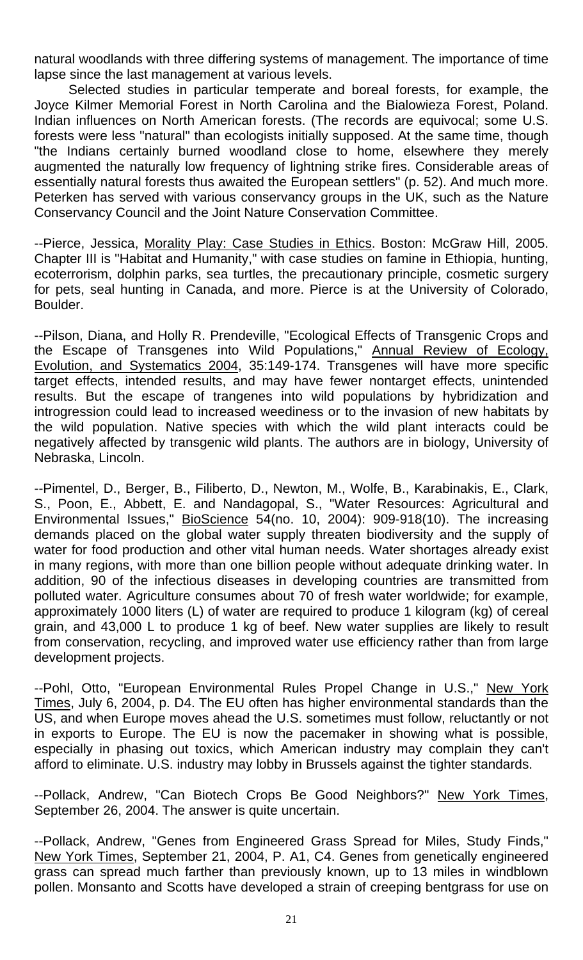natural woodlands with three differing systems of management. The importance of time lapse since the last management at various levels.

 Selected studies in particular temperate and boreal forests, for example, the Joyce Kilmer Memorial Forest in North Carolina and the Bialowieza Forest, Poland. Indian influences on North American forests. (The records are equivocal; some U.S. forests were less "natural" than ecologists initially supposed. At the same time, though "the Indians certainly burned woodland close to home, elsewhere they merely augmented the naturally low frequency of lightning strike fires. Considerable areas of essentially natural forests thus awaited the European settlers" (p. 52). And much more. Peterken has served with various conservancy groups in the UK, such as the Nature Conservancy Council and the Joint Nature Conservation Committee.

--Pierce, Jessica, Morality Play: Case Studies in Ethics. Boston: McGraw Hill, 2005. Chapter III is "Habitat and Humanity," with case studies on famine in Ethiopia, hunting, ecoterrorism, dolphin parks, sea turtles, the precautionary principle, cosmetic surgery for pets, seal hunting in Canada, and more. Pierce is at the University of Colorado, Boulder.

--Pilson, Diana, and Holly R. Prendeville, "Ecological Effects of Transgenic Crops and the Escape of Transgenes into Wild Populations," Annual Review of Ecology, Evolution, and Systematics 2004, 35:149-174. Transgenes will have more specific target effects, intended results, and may have fewer nontarget effects, unintended results. But the escape of trangenes into wild populations by hybridization and introgression could lead to increased weediness or to the invasion of new habitats by the wild population. Native species with which the wild plant interacts could be negatively affected by transgenic wild plants. The authors are in biology, University of Nebraska, Lincoln.

--Pimentel, D., Berger, B., Filiberto, D., Newton, M., Wolfe, B., Karabinakis, E., Clark, S., Poon, E., Abbett, E. and Nandagopal, S., "Water Resources: Agricultural and Environmental Issues," **BioScience** 54(no. 10, 2004): 909-918(10). The increasing demands placed on the global water supply threaten biodiversity and the supply of water for food production and other vital human needs. Water shortages already exist in many regions, with more than one billion people without adequate drinking water. In addition, 90 of the infectious diseases in developing countries are transmitted from polluted water. Agriculture consumes about 70 of fresh water worldwide; for example, approximately 1000 liters (L) of water are required to produce 1 kilogram (kg) of cereal grain, and 43,000 L to produce 1 kg of beef. New water supplies are likely to result from conservation, recycling, and improved water use efficiency rather than from large development projects.

--Pohl, Otto, "European Environmental Rules Propel Change in U.S.," New York Times, July 6, 2004, p. D4. The EU often has higher environmental standards than the US, and when Europe moves ahead the U.S. sometimes must follow, reluctantly or not in exports to Europe. The EU is now the pacemaker in showing what is possible, especially in phasing out toxics, which American industry may complain they can't afford to eliminate. U.S. industry may lobby in Brussels against the tighter standards.

--Pollack, Andrew, "Can Biotech Crops Be Good Neighbors?" New York Times, September 26, 2004. The answer is quite uncertain.

--Pollack, Andrew, "Genes from Engineered Grass Spread for Miles, Study Finds," New York Times, September 21, 2004, P. A1, C4. Genes from genetically engineered grass can spread much farther than previously known, up to 13 miles in windblown pollen. Monsanto and Scotts have developed a strain of creeping bentgrass for use on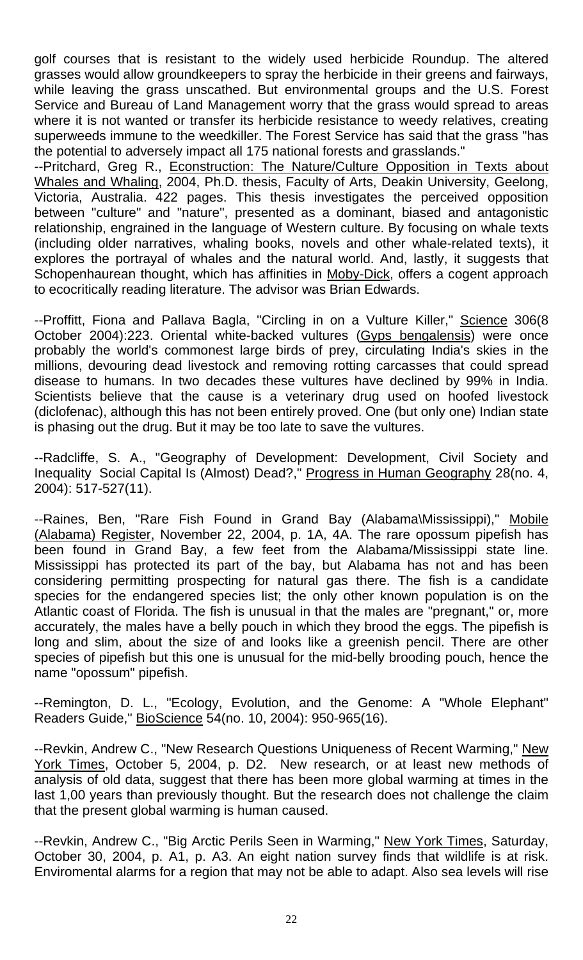golf courses that is resistant to the widely used herbicide Roundup. The altered grasses would allow groundkeepers to spray the herbicide in their greens and fairways, while leaving the grass unscathed. But environmental groups and the U.S. Forest Service and Bureau of Land Management worry that the grass would spread to areas where it is not wanted or transfer its herbicide resistance to weedy relatives, creating superweeds immune to the weedkiller. The Forest Service has said that the grass "has the potential to adversely impact all 175 national forests and grasslands."

--Pritchard, Greg R., Econstruction: The Nature/Culture Opposition in Texts about Whales and Whaling, 2004, Ph.D. thesis, Faculty of Arts, Deakin University, Geelong, Victoria, Australia. 422 pages. This thesis investigates the perceived opposition between "culture" and "nature", presented as a dominant, biased and antagonistic relationship, engrained in the language of Western culture. By focusing on whale texts (including older narratives, whaling books, novels and other whale-related texts), it explores the portrayal of whales and the natural world. And, lastly, it suggests that Schopenhaurean thought, which has affinities in Moby-Dick, offers a cogent approach to ecocritically reading literature. The advisor was Brian Edwards.

--Proffitt, Fiona and Pallava Bagla, "Circling in on a Vulture Killer," Science 306(8 October 2004):223. Oriental white-backed vultures (Gyps bengalensis) were once probably the world's commonest large birds of prey, circulating India's skies in the millions, devouring dead livestock and removing rotting carcasses that could spread disease to humans. In two decades these vultures have declined by 99% in India. Scientists believe that the cause is a veterinary drug used on hoofed livestock (diclofenac), although this has not been entirely proved. One (but only one) Indian state is phasing out the drug. But it may be too late to save the vultures.

--Radcliffe, S. A., "Geography of Development: Development, Civil Society and Inequality Social Capital Is (Almost) Dead?," Progress in Human Geography 28(no. 4, 2004): 517-527(11).

--Raines, Ben, "Rare Fish Found in Grand Bay (Alabama\Mississippi)," Mobile (Alabama) Register, November 22, 2004, p. 1A, 4A. The rare opossum pipefish has been found in Grand Bay, a few feet from the Alabama/Mississippi state line. Mississippi has protected its part of the bay, but Alabama has not and has been considering permitting prospecting for natural gas there. The fish is a candidate species for the endangered species list; the only other known population is on the Atlantic coast of Florida. The fish is unusual in that the males are "pregnant," or, more accurately, the males have a belly pouch in which they brood the eggs. The pipefish is long and slim, about the size of and looks like a greenish pencil. There are other species of pipefish but this one is unusual for the mid-belly brooding pouch, hence the name "opossum" pipefish.

--Remington, D. L., "Ecology, Evolution, and the Genome: A "Whole Elephant" Readers Guide," BioScience 54(no. 10, 2004): 950-965(16).

--Revkin, Andrew C., "New Research Questions Uniqueness of Recent Warming," New York Times, October 5, 2004, p. D2. New research, or at least new methods of analysis of old data, suggest that there has been more global warming at times in the last 1,00 years than previously thought. But the research does not challenge the claim that the present global warming is human caused.

--Revkin, Andrew C., "Big Arctic Perils Seen in Warming," New York Times, Saturday, October 30, 2004, p. A1, p. A3. An eight nation survey finds that wildlife is at risk. Enviromental alarms for a region that may not be able to adapt. Also sea levels will rise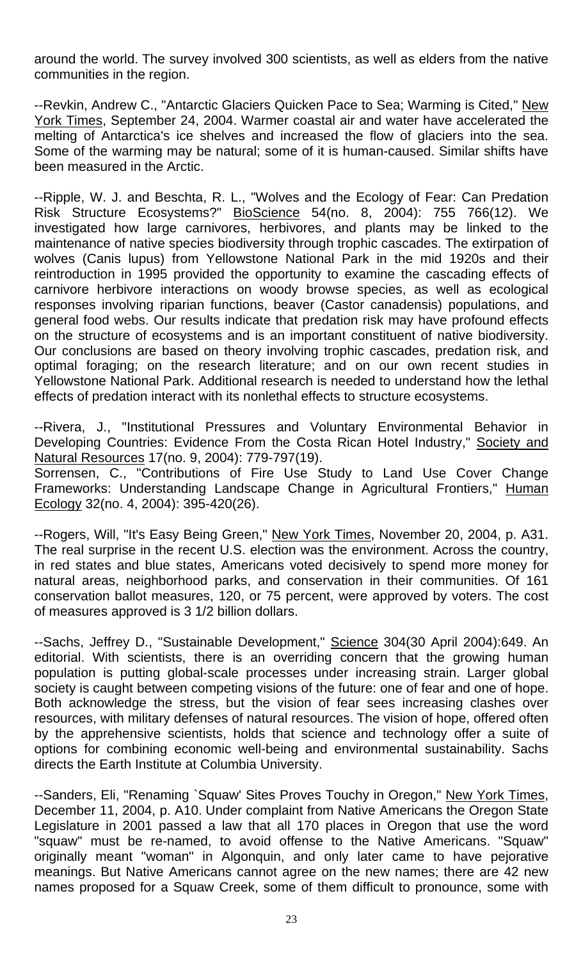around the world. The survey involved 300 scientists, as well as elders from the native communities in the region.

--Revkin, Andrew C., "Antarctic Glaciers Quicken Pace to Sea; Warming is Cited," New York Times, September 24, 2004. Warmer coastal air and water have accelerated the melting of Antarctica's ice shelves and increased the flow of glaciers into the sea. Some of the warming may be natural; some of it is human-caused. Similar shifts have been measured in the Arctic.

--Ripple, W. J. and Beschta, R. L., "Wolves and the Ecology of Fear: Can Predation Risk Structure Ecosystems?" BioScience 54(no. 8, 2004): 755 766(12). We investigated how large carnivores, herbivores, and plants may be linked to the maintenance of native species biodiversity through trophic cascades. The extirpation of wolves (Canis lupus) from Yellowstone National Park in the mid 1920s and their reintroduction in 1995 provided the opportunity to examine the cascading effects of carnivore herbivore interactions on woody browse species, as well as ecological responses involving riparian functions, beaver (Castor canadensis) populations, and general food webs. Our results indicate that predation risk may have profound effects on the structure of ecosystems and is an important constituent of native biodiversity. Our conclusions are based on theory involving trophic cascades, predation risk, and optimal foraging; on the research literature; and on our own recent studies in Yellowstone National Park. Additional research is needed to understand how the lethal effects of predation interact with its nonlethal effects to structure ecosystems.

--Rivera, J., "Institutional Pressures and Voluntary Environmental Behavior in Developing Countries: Evidence From the Costa Rican Hotel Industry," Society and Natural Resources 17(no. 9, 2004): 779-797(19).

Sorrensen, C., "Contributions of Fire Use Study to Land Use Cover Change Frameworks: Understanding Landscape Change in Agricultural Frontiers," Human Ecology 32(no. 4, 2004): 395-420(26).

--Rogers, Will, "It's Easy Being Green," New York Times, November 20, 2004, p. A31. The real surprise in the recent U.S. election was the environment. Across the country, in red states and blue states, Americans voted decisively to spend more money for natural areas, neighborhood parks, and conservation in their communities. Of 161 conservation ballot measures, 120, or 75 percent, were approved by voters. The cost of measures approved is 3 1/2 billion dollars.

--Sachs, Jeffrey D., "Sustainable Development," Science 304(30 April 2004):649. An editorial. With scientists, there is an overriding concern that the growing human population is putting global-scale processes under increasing strain. Larger global society is caught between competing visions of the future: one of fear and one of hope. Both acknowledge the stress, but the vision of fear sees increasing clashes over resources, with military defenses of natural resources. The vision of hope, offered often by the apprehensive scientists, holds that science and technology offer a suite of options for combining economic well-being and environmental sustainability. Sachs directs the Earth Institute at Columbia University.

--Sanders, Eli, "Renaming `Squaw' Sites Proves Touchy in Oregon," New York Times, December 11, 2004, p. A10. Under complaint from Native Americans the Oregon State Legislature in 2001 passed a law that all 170 places in Oregon that use the word "squaw" must be re-named, to avoid offense to the Native Americans. "Squaw" originally meant "woman" in Algonquin, and only later came to have pejorative meanings. But Native Americans cannot agree on the new names; there are 42 new names proposed for a Squaw Creek, some of them difficult to pronounce, some with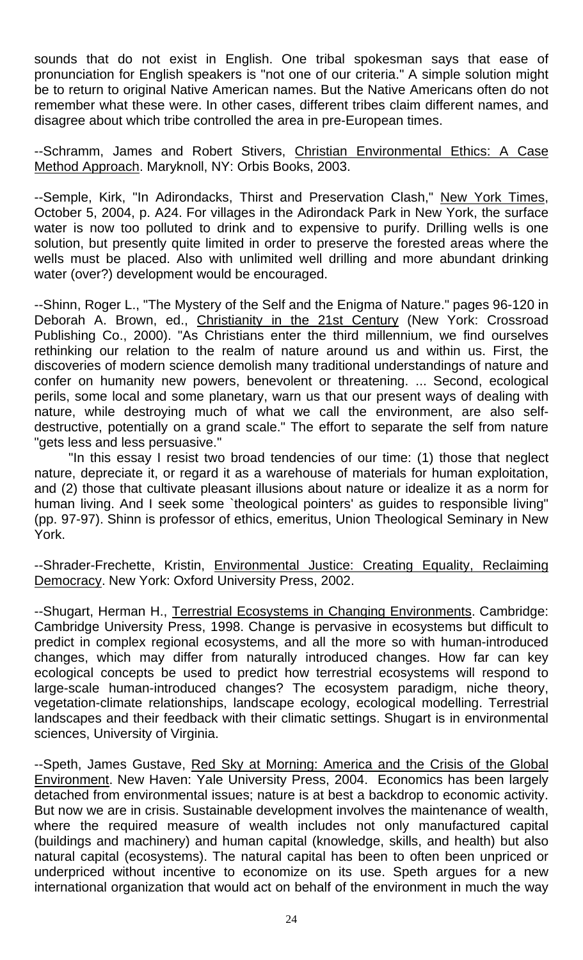sounds that do not exist in English. One tribal spokesman says that ease of pronunciation for English speakers is "not one of our criteria." A simple solution might be to return to original Native American names. But the Native Americans often do not remember what these were. In other cases, different tribes claim different names, and disagree about which tribe controlled the area in pre-European times.

--Schramm, James and Robert Stivers, Christian Environmental Ethics: A Case Method Approach. Maryknoll, NY: Orbis Books, 2003.

--Semple, Kirk, "In Adirondacks, Thirst and Preservation Clash," New York Times, October 5, 2004, p. A24. For villages in the Adirondack Park in New York, the surface water is now too polluted to drink and to expensive to purify. Drilling wells is one solution, but presently quite limited in order to preserve the forested areas where the wells must be placed. Also with unlimited well drilling and more abundant drinking water (over?) development would be encouraged.

--Shinn, Roger L., "The Mystery of the Self and the Enigma of Nature." pages 96-120 in Deborah A. Brown, ed., Christianity in the 21st Century (New York: Crossroad Publishing Co., 2000). "As Christians enter the third millennium, we find ourselves rethinking our relation to the realm of nature around us and within us. First, the discoveries of modern science demolish many traditional understandings of nature and confer on humanity new powers, benevolent or threatening. ... Second, ecological perils, some local and some planetary, warn us that our present ways of dealing with nature, while destroying much of what we call the environment, are also selfdestructive, potentially on a grand scale." The effort to separate the self from nature "gets less and less persuasive."

 "In this essay I resist two broad tendencies of our time: (1) those that neglect nature, depreciate it, or regard it as a warehouse of materials for human exploitation, and (2) those that cultivate pleasant illusions about nature or idealize it as a norm for human living. And I seek some `theological pointers' as guides to responsible living" (pp. 97-97). Shinn is professor of ethics, emeritus, Union Theological Seminary in New York.

--Shrader-Frechette, Kristin, Environmental Justice: Creating Equality, Reclaiming Democracy. New York: Oxford University Press, 2002.

--Shugart, Herman H., Terrestrial Ecosystems in Changing Environments. Cambridge: Cambridge University Press, 1998. Change is pervasive in ecosystems but difficult to predict in complex regional ecosystems, and all the more so with human-introduced changes, which may differ from naturally introduced changes. How far can key ecological concepts be used to predict how terrestrial ecosystems will respond to large-scale human-introduced changes? The ecosystem paradigm, niche theory, vegetation-climate relationships, landscape ecology, ecological modelling. Terrestrial landscapes and their feedback with their climatic settings. Shugart is in environmental sciences, University of Virginia.

--Speth, James Gustave, Red Sky at Morning: America and the Crisis of the Global Environment. New Haven: Yale University Press, 2004. Economics has been largely detached from environmental issues; nature is at best a backdrop to economic activity. But now we are in crisis. Sustainable development involves the maintenance of wealth, where the required measure of wealth includes not only manufactured capital (buildings and machinery) and human capital (knowledge, skills, and health) but also natural capital (ecosystems). The natural capital has been to often been unpriced or underpriced without incentive to economize on its use. Speth argues for a new international organization that would act on behalf of the environment in much the way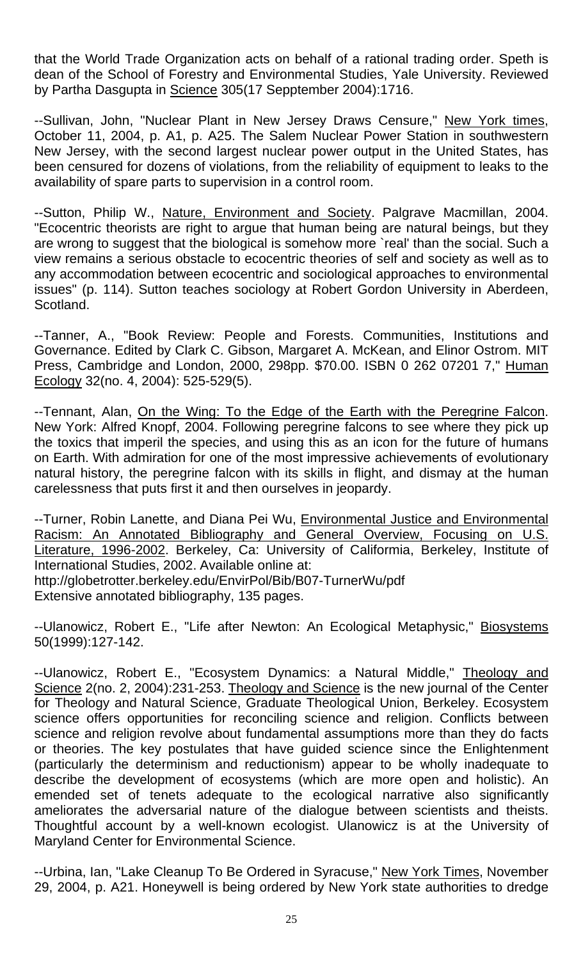that the World Trade Organization acts on behalf of a rational trading order. Speth is dean of the School of Forestry and Environmental Studies, Yale University. Reviewed by Partha Dasgupta in Science 305(17 Sepptember 2004):1716.

--Sullivan, John, "Nuclear Plant in New Jersey Draws Censure," New York times, October 11, 2004, p. A1, p. A25. The Salem Nuclear Power Station in southwestern New Jersey, with the second largest nuclear power output in the United States, has been censured for dozens of violations, from the reliability of equipment to leaks to the availability of spare parts to supervision in a control room.

--Sutton, Philip W., Nature, Environment and Society. Palgrave Macmillan, 2004. "Ecocentric theorists are right to argue that human being are natural beings, but they are wrong to suggest that the biological is somehow more `real' than the social. Such a view remains a serious obstacle to ecocentric theories of self and society as well as to any accommodation between ecocentric and sociological approaches to environmental issues" (p. 114). Sutton teaches sociology at Robert Gordon University in Aberdeen, Scotland.

--Tanner, A., "Book Review: People and Forests. Communities, Institutions and Governance. Edited by Clark C. Gibson, Margaret A. McKean, and Elinor Ostrom. MIT Press, Cambridge and London, 2000, 298pp. \$70.00. ISBN 0 262 07201 7," Human Ecology 32(no. 4, 2004): 525-529(5).

--Tennant, Alan, On the Wing: To the Edge of the Earth with the Peregrine Falcon. New York: Alfred Knopf, 2004. Following peregrine falcons to see where they pick up the toxics that imperil the species, and using this as an icon for the future of humans on Earth. With admiration for one of the most impressive achievements of evolutionary natural history, the peregrine falcon with its skills in flight, and dismay at the human carelessness that puts first it and then ourselves in jeopardy.

--Turner, Robin Lanette, and Diana Pei Wu, Environmental Justice and Environmental Racism: An Annotated Bibliography and General Overview, Focusing on U.S. Literature, 1996-2002. Berkeley, Ca: University of Califormia, Berkeley, Institute of International Studies, 2002. Available online at: http://globetrotter.berkeley.edu/EnvirPol/Bib/B07-TurnerWu/pdf Extensive annotated bibliography, 135 pages.

--Ulanowicz, Robert E., "Life after Newton: An Ecological Metaphysic," Biosystems 50(1999):127-142.

--Ulanowicz, Robert E., "Ecosystem Dynamics: a Natural Middle," Theology and Science 2(no. 2, 2004):231-253. Theology and Science is the new journal of the Center for Theology and Natural Science, Graduate Theological Union, Berkeley. Ecosystem science offers opportunities for reconciling science and religion. Conflicts between science and religion revolve about fundamental assumptions more than they do facts or theories. The key postulates that have guided science since the Enlightenment (particularly the determinism and reductionism) appear to be wholly inadequate to describe the development of ecosystems (which are more open and holistic). An emended set of tenets adequate to the ecological narrative also significantly ameliorates the adversarial nature of the dialogue between scientists and theists. Thoughtful account by a well-known ecologist. Ulanowicz is at the University of Maryland Center for Environmental Science.

--Urbina, Ian, "Lake Cleanup To Be Ordered in Syracuse," New York Times, November 29, 2004, p. A21. Honeywell is being ordered by New York state authorities to dredge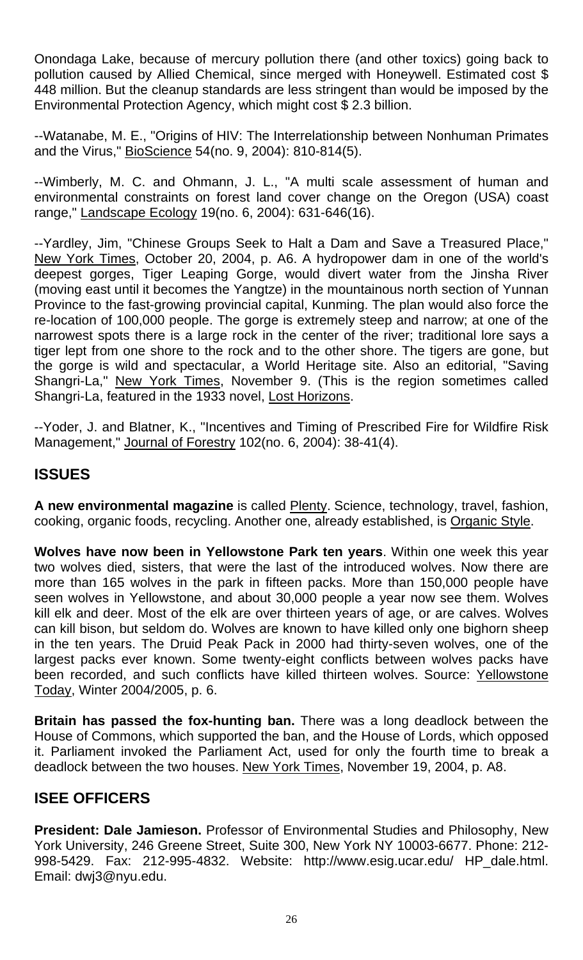Onondaga Lake, because of mercury pollution there (and other toxics) going back to pollution caused by Allied Chemical, since merged with Honeywell. Estimated cost \$ 448 million. But the cleanup standards are less stringent than would be imposed by the Environmental Protection Agency, which might cost \$ 2.3 billion.

--Watanabe, M. E., "Origins of HIV: The Interrelationship between Nonhuman Primates and the Virus," BioScience 54(no. 9, 2004): 810-814(5).

--Wimberly, M. C. and Ohmann, J. L., "A multi scale assessment of human and environmental constraints on forest land cover change on the Oregon (USA) coast range," Landscape Ecology 19(no. 6, 2004): 631-646(16).

--Yardley, Jim, "Chinese Groups Seek to Halt a Dam and Save a Treasured Place," New York Times, October 20, 2004, p. A6. A hydropower dam in one of the world's deepest gorges, Tiger Leaping Gorge, would divert water from the Jinsha River (moving east until it becomes the Yangtze) in the mountainous north section of Yunnan Province to the fast-growing provincial capital, Kunming. The plan would also force the re-location of 100,000 people. The gorge is extremely steep and narrow; at one of the narrowest spots there is a large rock in the center of the river; traditional lore says a tiger lept from one shore to the rock and to the other shore. The tigers are gone, but the gorge is wild and spectacular, a World Heritage site. Also an editorial, "Saving Shangri-La," New York Times, November 9. (This is the region sometimes called Shangri-La, featured in the 1933 novel, Lost Horizons.

--Yoder, J. and Blatner, K., "Incentives and Timing of Prescribed Fire for Wildfire Risk Management," Journal of Forestry 102(no. 6, 2004): 38-41(4).

## **ISSUES**

**A new environmental magazine** is called Plenty. Science, technology, travel, fashion, cooking, organic foods, recycling. Another one, already established, is Organic Style.

**Wolves have now been in Yellowstone Park ten years**. Within one week this year two wolves died, sisters, that were the last of the introduced wolves. Now there are more than 165 wolves in the park in fifteen packs. More than 150,000 people have seen wolves in Yellowstone, and about 30,000 people a year now see them. Wolves kill elk and deer. Most of the elk are over thirteen years of age, or are calves. Wolves can kill bison, but seldom do. Wolves are known to have killed only one bighorn sheep in the ten years. The Druid Peak Pack in 2000 had thirty-seven wolves, one of the largest packs ever known. Some twenty-eight conflicts between wolves packs have been recorded, and such conflicts have killed thirteen wolves. Source: Yellowstone Today, Winter 2004/2005, p. 6.

**Britain has passed the fox-hunting ban.** There was a long deadlock between the House of Commons, which supported the ban, and the House of Lords, which opposed it. Parliament invoked the Parliament Act, used for only the fourth time to break a deadlock between the two houses. New York Times, November 19, 2004, p. A8.

## **ISEE OFFICERS**

**President: Dale Jamieson.** Professor of Environmental Studies and Philosophy, New York University, 246 Greene Street, Suite 300, New York NY 10003-6677. Phone: 212- 998-5429. Fax: 212-995-4832. Website: <http://www.esig.ucar.edu/> HP\_dale.html. Email: dwj3@nyu.edu.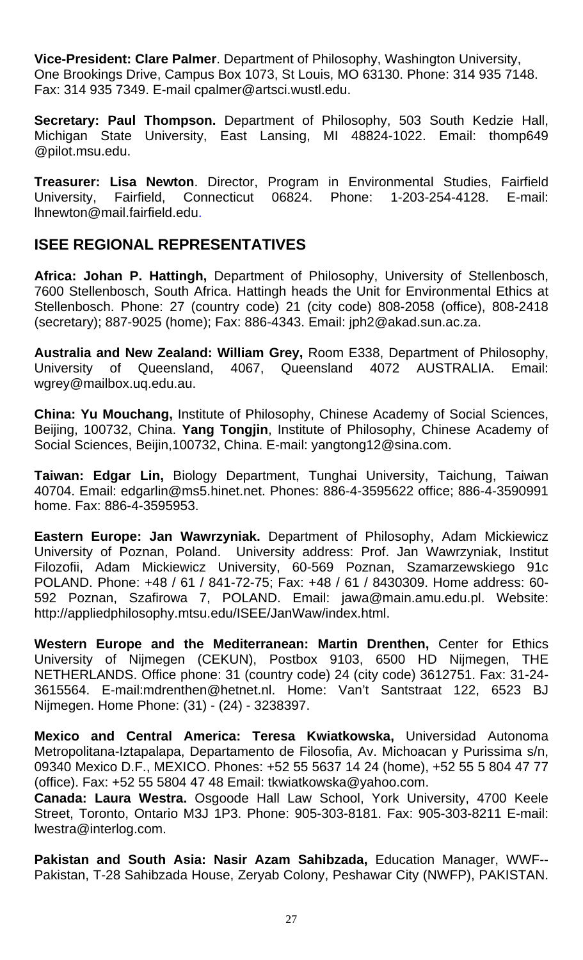**Vice-President: Clare Palmer**. Department of Philosophy, Washington University, One Brookings Drive, Campus Box 1073, St Louis, MO 63130. Phone: 314 935 7148. Fax: 314 935 7349. E-mail [cpalmer@artsci.wustl.edu.](mailto:cpalmer@artsci.wustl.edu)

**Secretary: Paul Thompson.** Department of Philosophy, 503 South Kedzie Hall, Michigan State University, East Lansing, MI 48824-1022. Email: thomp649 @pilot.msu.edu.

**Treasurer: Lisa Newton**. Director, Program in Environmental Studies, Fairfield University, Fairfield, Connecticut 06824. Phone: 1-203-254-4128. E-mail: [lhnewton@mail.fairfield.edu](mailto:lhnewton@mail.fairfield.edu).

#### **ISEE REGIONAL REPRESENTATIVES**

**Africa: Johan P. Hattingh,** Department of Philosophy, University of Stellenbosch, 7600 Stellenbosch, South Africa. Hattingh heads the Unit for Environmental Ethics at Stellenbosch. Phone: 27 (country code) 21 (city code) 808-2058 (office), 808-2418 (secretary); 887-9025 (home); Fax: 886-4343. Email: jph2@akad.sun.ac.za.

**Australia and New Zealand: William Grey,** Room E338, Department of Philosophy, University of Queensland, 4067, Queensland 4072 AUSTRALIA. Email: wgrey@mailbox.uq.edu.au.

**China: Yu Mouchang,** Institute of Philosophy, Chinese Academy of Social Sciences, Beijing, 100732, China. **Yang Tongjin**, Institute of Philosophy, Chinese Academy of Social Sciences, Beijin,100732, China. E-mail: yangtong12@sina.com.

**Taiwan: Edgar Lin,** Biology Department, Tunghai University, Taichung, Taiwan 40704. Email: [edgarlin@ms5.hinet.net.](mailto:edgarlin@ms5.hinet.net.) Phones: 886-4-3595622 office; 886-4-3590991 home. Fax: 886-4-3595953.

**Eastern Europe: Jan Wawrzyniak.** Department of Philosophy, Adam Mickiewicz University of Poznan, Poland. University address: Prof. Jan Wawrzyniak, Institut Filozofii, Adam Mickiewicz University, 60-569 Poznan, Szamarzewskiego 91c POLAND. Phone: +48 / 61 / 841-72-75; Fax: +48 / 61 / 8430309. Home address: 60- 592 Poznan, Szafirowa 7, POLAND. Email: [jawa@main.amu.edu.pl.](mailto:jawa@main.amu.edu.pl.) Website: http://appliedphilosophy.mtsu.edu/ISEE/JanWaw/index.html.

**Western Europe and the Mediterranean: Martin Drenthen,** Center for Ethics University of Nijmegen (CEKUN), Postbox 9103, 6500 HD Nijmegen, THE NETHERLANDS. Office phone: 31 (country code) 24 (city code) 3612751. Fax: 31-24- 3615564. [E-mail:mdrenthen@hetnet.nl.](mailto:E-mail:mdrenthen@hetnet.nl.) Home: Van't Santstraat 122, 6523 BJ Nijmegen. Home Phone: (31) - (24) - 3238397.

**Mexico and Central America: Teresa Kwiatkowska,** Universidad Autonoma Metropolitana-Iztapalapa, Departamento de Filosofia, Av. Michoacan y Purissima s/n, 09340 Mexico D.F., MEXICO. Phones: +52 55 5637 14 24 (home), +52 55 5 804 47 77 [\(](mailto:kwiat@xanum.uam.mx.)office). Fax: +52 55 5804 47 48 Email: tkwiatkowska@yahoo.com.

**Canada: Laura Westra.** Osgoode Hall Law School, York University, 4700 Keele Street, Toronto, Ontario M3J 1P3. Phone: 905-303-8181. Fax: 905-303-8211 E-mail: lwestra@interlog.com.

**Pakistan and South Asia: Nasir Azam Sahibzada,** Education Manager, WWF-- Pakistan, T-28 Sahibzada House, Zeryab Colony, Peshawar City (NWFP), PAKISTAN.